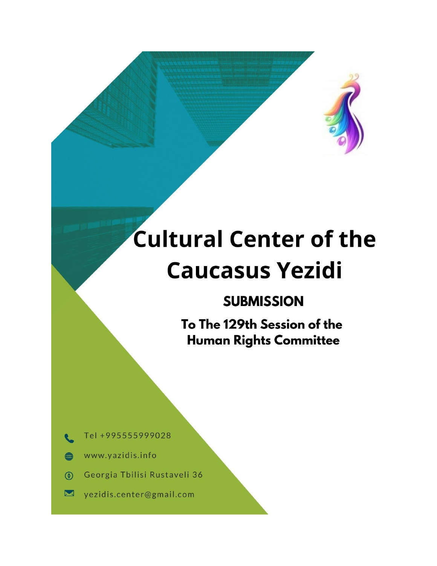# **Cultural Center of the Caucasus Yezidi**

# **SUBMISSION**

To The 129th Session of the **Human Rights Committee** 

Tel +995555999028

- www.yazidis.info **499**
- Georgia Tbilisi Rustaveli 36  $\circledcirc$
- yezidis.center@gmail.com  $\blacksquare$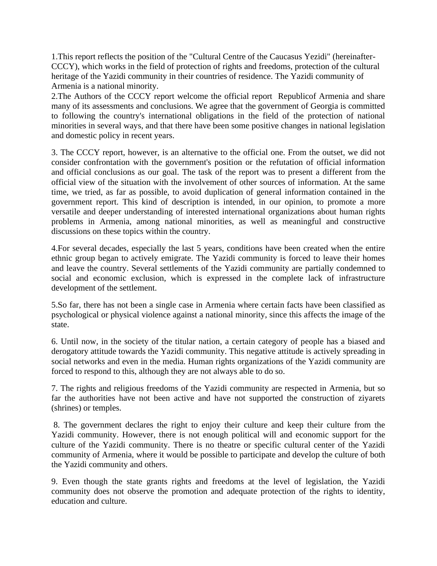1.This report reflects the position of the "Cultural Centre of the Caucasus Yezidi" (hereinafter-CCCY), which works in the field of protection of rights and freedoms, protection of the cultural heritage of the Yazidi community in their countries of residence. The Yazidi community of Armenia is a national minority.

2.The Authors of the CCCY report welcome the official report Republicof Armenia and share many of its assessments and conclusions. We agree that the government of Georgia is committed to following the country's international obligations in the field of the protection of national minorities in several ways, and that there have been some positive changes in national legislation and domestic policy in recent years.

3. The CCCY report, however, is an alternative to the official one. From the outset, we did not consider confrontation with the government's position or the refutation of official information and official conclusions as our goal. The task of the report was to present a different from the official view of the situation with the involvement of other sources of information. At the same time, we tried, as far as possible, to avoid duplication of general information contained in the government report. This kind of description is intended, in our opinion, to promote a more versatile and deeper understanding of interested international organizations about human rights problems in Armenia, among national minorities, as well as meaningful and constructive discussions on these topics within the country.

4.For several decades, especially the last 5 years, conditions have been created when the entire ethnic group began to actively emigrate. The Yazidi community is forced to leave their homes and leave the country. Several settlements of the Yazidi community are partially condemned to social and economic exclusion, which is expressed in the complete lack of infrastructure development of the settlement.

5.So far, there has not been a single case in Armenia where certain facts have been classified as psychological or physical violence against a national minority, since this affects the image of the state.

6. Until now, in the society of the titular nation, a certain category of people has a biased and derogatory attitude towards the Yazidi community. This negative attitude is actively spreading in social networks and even in the media. Human rights organizations of the Yazidi community are forced to respond to this, although they are not always able to do so.

7. The rights and religious freedoms of the Yazidi community are respected in Armenia, but so far the authorities have not been active and have not supported the construction of ziyarets (shrines) or temples.

8. The government declares the right to enjoy their culture and keep their culture from the Yazidi community. However, there is not enough political will and economic support for the culture of the Yazidi community. There is no theatre or specific cultural center of the Yazidi community of Armenia, where it would be possible to participate and develop the culture of both the Yazidi community and others.

9. Even though the state grants rights and freedoms at the level of legislation, the Yazidi community does not observe the promotion and adequate protection of the rights to identity, education and culture.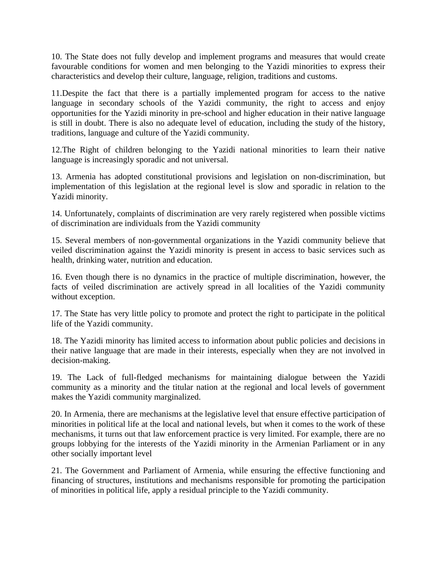10. The State does not fully develop and implement programs and measures that would create favourable conditions for women and men belonging to the Yazidi minorities to express their characteristics and develop their culture, language, religion, traditions and customs.

11.Despite the fact that there is a partially implemented program for access to the native language in secondary schools of the Yazidi community, the right to access and enjoy opportunities for the Yazidi minority in pre-school and higher education in their native language is still in doubt. There is also no adequate level of education, including the study of the history, traditions, language and culture of the Yazidi community.

12.The Right of children belonging to the Yazidi national minorities to learn their native language is increasingly sporadic and not universal.

13. Armenia has adopted constitutional provisions and legislation on non-discrimination, but implementation of this legislation at the regional level is slow and sporadic in relation to the Yazidi minority.

14. Unfortunately, complaints of discrimination are very rarely registered when possible victims of discrimination are individuals from the Yazidi community

15. Several members of non-governmental organizations in the Yazidi community believe that veiled discrimination against the Yazidi minority is present in access to basic services such as health, drinking water, nutrition and education.

16. Even though there is no dynamics in the practice of multiple discrimination, however, the facts of veiled discrimination are actively spread in all localities of the Yazidi community without exception.

17. The State has very little policy to promote and protect the right to participate in the political life of the Yazidi community.

18. The Yazidi minority has limited access to information about public policies and decisions in their native language that are made in their interests, especially when they are not involved in decision-making.

19. The Lack of full-fledged mechanisms for maintaining dialogue between the Yazidi community as a minority and the titular nation at the regional and local levels of government makes the Yazidi community marginalized.

20. In Armenia, there are mechanisms at the legislative level that ensure effective participation of minorities in political life at the local and national levels, but when it comes to the work of these mechanisms, it turns out that law enforcement practice is very limited. For example, there are no groups lobbying for the interests of the Yazidi minority in the Armenian Parliament or in any other socially important level

21. The Government and Parliament of Armenia, while ensuring the effective functioning and financing of structures, institutions and mechanisms responsible for promoting the participation of minorities in political life, apply a residual principle to the Yazidi community.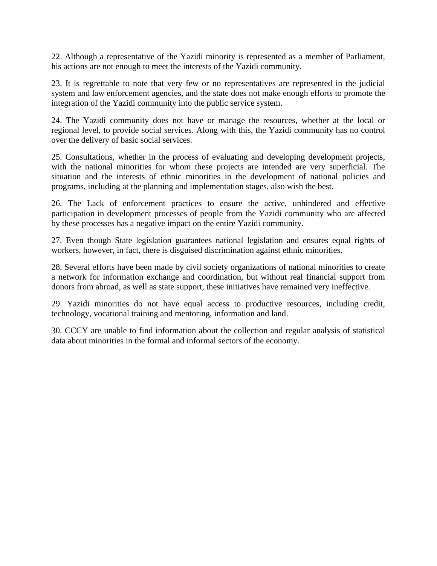22. Although a representative of the Yazidi minority is represented as a member of Parliament, his actions are not enough to meet the interests of the Yazidi community.

23. It is regrettable to note that very few or no representatives are represented in the judicial system and law enforcement agencies, and the state does not make enough efforts to promote the integration of the Yazidi community into the public service system.

24. The Yazidi community does not have or manage the resources, whether at the local or regional level, to provide social services. Along with this, the Yazidi community has no control over the delivery of basic social services.

25. Consultations, whether in the process of evaluating and developing development projects, with the national minorities for whom these projects are intended are very superficial. The situation and the interests of ethnic minorities in the development of national policies and programs, including at the planning and implementation stages, also wish the best.

26. The Lack of enforcement practices to ensure the active, unhindered and effective participation in development processes of people from the Yazidi community who are affected by these processes has a negative impact on the entire Yazidi community.

27. Even though State legislation guarantees national legislation and ensures equal rights of workers, however, in fact, there is disguised discrimination against ethnic minorities.

28. Several efforts have been made by civil society organizations of national minorities to create a network for information exchange and coordination, but without real financial support from donors from abroad, as well as state support, these initiatives have remained very ineffective.

29. Yazidi minorities do not have equal access to productive resources, including credit, technology, vocational training and mentoring, information and land.

30. CCCY are unable to find information about the collection and regular analysis of statistical data about minorities in the formal and informal sectors of the economy.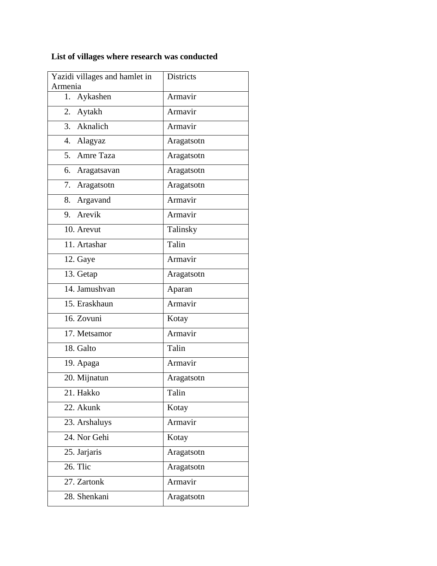# **List of villages where research was conducted**

| Yazidi villages and hamlet in | Districts  |
|-------------------------------|------------|
| Armenia<br>Aykashen<br>1.     | Armavir    |
| 2. Aytakh                     | Armavir    |
| Aknalich<br>3.                | Armavir    |
| 4. Alagyaz                    | Aragatsotn |
| 5. Amre Taza                  | Aragatsotn |
| 6.                            |            |
| Aragatsavan                   | Aragatsotn |
| 7. Aragatsotn                 | Aragatsotn |
| 8. Argavand                   | Armavir    |
| 9. Arevik                     | Armavir    |
| 10. Arevut                    | Talinsky   |
| 11. Artashar                  | Talin      |
| 12. Gaye                      | Armavir    |
| 13. Getap                     | Aragatsotn |
| 14. Jamushvan                 | Aparan     |
| 15. Eraskhaun                 | Armavir    |
| 16. Zovuni                    | Kotay      |
| 17. Metsamor                  | Armavir    |
| 18. Galto                     | Talin      |
| 19. Apaga                     | Armavir    |
| 20. Mijnatun                  | Aragatsotn |
| 21. Hakko                     | Talin      |
| 22. Akunk                     | Kotay      |
| 23. Arshaluys                 | Armavir    |
| 24. Nor Gehi                  | Kotay      |
| 25. Jarjaris                  | Aragatsotn |
| 26. Tlic                      | Aragatsotn |
| 27. Zartonk                   | Armavir    |
| 28. Shenkani                  | Aragatsotn |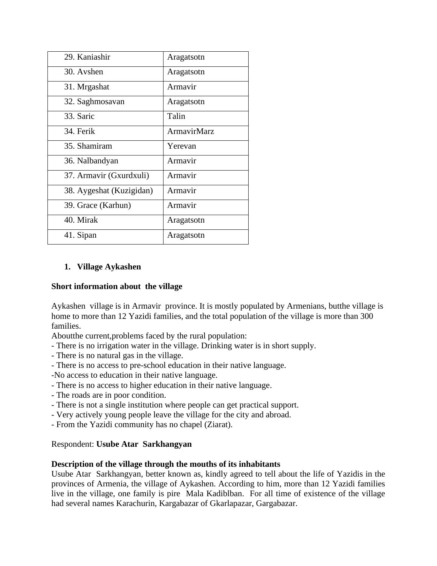| 29. Kaniashir            | Aragatsotn         |
|--------------------------|--------------------|
| 30. Avshen               | Aragatsotn         |
| 31. Mrgashat             | Armavir            |
| 32. Saghmosavan          | Aragatsotn         |
| 33. Saric                | Talin              |
| 34. Ferik                | <b>ArmavirMarz</b> |
| 35. Shamiram             | Yerevan            |
| 36. Nalbandyan           | Armavir            |
| 37. Armavir (Gxurdxuli)  | Armavir            |
| 38. Aygeshat (Kuzigidan) | Armavir            |
| 39. Grace (Karhun)       | Armavir            |
| 40. Mirak                | Aragatsotn         |
| 41. Sipan                | Aragatsotn         |

# **1. Village Aykashen**

# **Short information about the village**

Aykashen village is in Armavir province. It is mostly populated by Armenians, butthe village is home to more than 12 Yazidi families, and the total population of the village is more than 300 families.

Aboutthe current,problems faced by the rural population:

- There is no irrigation water in the village. Drinking water is in short supply.
- There is no natural gas in the village.
- There is no access to pre-school education in their native language.
- -No access to education in their native language.
- There is no access to higher education in their native language.
- The roads are in poor condition.
- There is not a single institution where people can get practical support.
- Very actively young people leave the village for the city and abroad.
- From the Yazidi community has no chapel (Ziarat).

# Respondent: **Usube Atar Sarkhangyan**

# **Description of the village through the mouths of its inhabitants**

Usube Atar Sarkhangyan, better known as, kindly agreed to tell about the life of Yazidis in the provinces of Armenia, the village of Aykashen. According to him, more than 12 Yazidi families live in the village, one family is pire Mala Kadiblban. For all time of existence of the village had several names Karachurin, Kargabazar of Gkarlapazar, Gargabazar.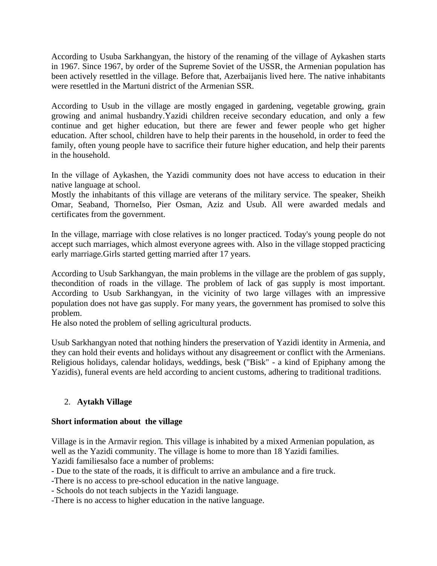According to Usuba Sarkhangyan, the history of the renaming of the village of Aykashen starts in 1967. Since 1967, by order of the Supreme Soviet of the USSR, the Armenian population has been actively resettled in the village. Before that, Azerbaijanis lived here. The native inhabitants were resettled in the Martuni district of the Armenian SSR.

According to Usub in the village are mostly engaged in gardening, vegetable growing, grain growing and animal husbandry.Yazidi children receive secondary education, and only a few continue and get higher education, but there are fewer and fewer people who get higher education. After school, children have to help their parents in the household, in order to feed the family, often young people have to sacrifice their future higher education, and help their parents in the household.

In the village of Aykashen, the Yazidi community does not have access to education in their native language at school.

Mostly the inhabitants of this village are veterans of the military service. The speaker, Sheikh Omar, Seaband, ThorneIso, Pier Osman, Aziz and Usub. All were awarded medals and certificates from the government.

In the village, marriage with close relatives is no longer practiced. Today's young people do not accept such marriages, which almost everyone agrees with. Also in the village stopped practicing early marriage.Girls started getting married after 17 years.

According to Usub Sarkhangyan, the main problems in the village are the problem of gas supply, thecondition of roads in the village. The problem of lack of gas supply is most important. According to Usub Sarkhangyan, in the vicinity of two large villages with an impressive population does not have gas supply. For many years, the government has promised to solve this problem.

He also noted the problem of selling agricultural products.

Usub Sarkhangyan noted that nothing hinders the preservation of Yazidi identity in Armenia, and they can hold their events and holidays without any disagreement or conflict with the Armenians. Religious holidays, calendar holidays, weddings, besk ("Bisk" - a kind of Epiphany among the Yazidis), funeral events are held according to ancient customs, adhering to traditional traditions.

# 2. **Aytakh Village**

# **Short information about the village**

Village is in the Armavir region. This village is inhabited by a mixed Armenian population, as well as the Yazidi community. The village is home to more than 18 Yazidi families. Yazidi familiesalso face a number of problems:

- Due to the state of the roads, it is difficult to arrive an ambulance and a fire truck.

-There is no access to pre-school education in the native language.

- Schools do not teach subjects in the Yazidi language.

-There is no access to higher education in the native language.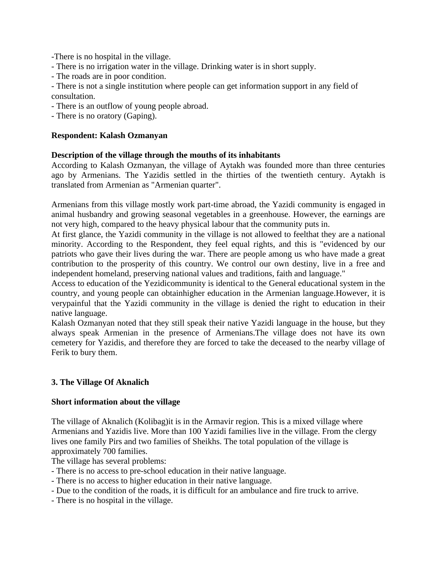-There is no hospital in the village.

- There is no irrigation water in the village. Drinking water is in short supply.
- The roads are in poor condition.

- There is not a single institution where people can get information support in any field of consultation.

- There is an outflow of young people abroad.

- There is no oratory (Gaping).

# **Respondent: Kalash Ozmanyan**

# **Description of the village through the mouths of its inhabitants**

According to Kalash Ozmanyan, the village of Aytakh was founded more than three centuries ago by Armenians. The Yazidis settled in the thirties of the twentieth century. Aytakh is translated from Armenian as "Armenian quarter".

Armenians from this village mostly work part-time abroad, the Yazidi community is engaged in animal husbandry and growing seasonal vegetables in a greenhouse. However, the earnings are not very high, compared to the heavy physical labour that the community puts in.

At first glance, the Yazidi community in the village is not allowed to feelthat they are a national minority. According to the Respondent, they feel equal rights, and this is "evidenced by our patriots who gave their lives during the war. There are people among us who have made a great contribution to the prosperity of this country. We control our own destiny, live in a free and independent homeland, preserving national values and traditions, faith and language."

Access to education of the Yezidicommunity is identical to the General educational system in the country, and young people can obtainhigher education in the Armenian language.However, it is verypainful that the Yazidi community in the village is denied the right to education in their native language.

Kalash Ozmanyan noted that they still speak their native Yazidi language in the house, but they always speak Armenian in the presence of Armenians.The village does not have its own cemetery for Yazidis, and therefore they are forced to take the deceased to the nearby village of Ferik to bury them.

# **3. The Village Of Aknalich**

# **Short information about the village**

The village of Aknalich (Kolibag)it is in the Armavir region. This is a mixed village where Armenians and Yazidis live. More than 100 Yazidi families live in the village. From the clergy lives one family Pirs and two families of Sheikhs. The total population of the village is approximately 700 families.

The village has several problems:

- There is no access to pre-school education in their native language.
- There is no access to higher education in their native language.
- Due to the condition of the roads, it is difficult for an ambulance and fire truck to arrive.
- There is no hospital in the village.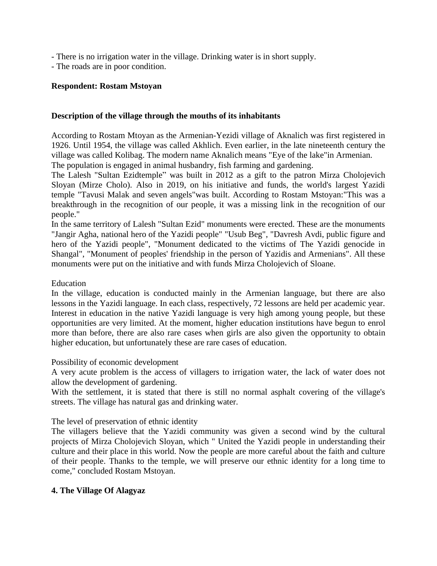- There is no irrigation water in the village. Drinking water is in short supply.

- The roads are in poor condition.

# **Respondent: Rostam Mstoyan**

# **Description of the village through the mouths of its inhabitants**

According to Rostam Mtoyan as the Armenian-Yezidi village of Aknalich was first registered in 1926. Until 1954, the village was called Akhlich. Even earlier, in the late nineteenth century the village was called Kolibag. The modern name Aknalich means "Eye of the lake"in Armenian.

The population is engaged in animal husbandry, fish farming and gardening.

The Lalesh "Sultan Ezidtemple" was built in 2012 as a gift to the patron Mirza Cholojevich Sloyan (Mirze Cholo). Also in 2019, on his initiative and funds, the world's largest Yazidi temple "Tavusi Malak and seven angels"was built. According to Rostam Mstoyan:"This was a breakthrough in the recognition of our people, it was a missing link in the recognition of our people."

In the same territory of Lalesh "Sultan Ezid" monuments were erected. These are the monuments "Jangir Agha, national hero of the Yazidi people" "Usub Beg", "Davresh Avdi, public figure and hero of the Yazidi people", "Monument dedicated to the victims of The Yazidi genocide in Shangal", "Monument of peoples' friendship in the person of Yazidis and Armenians". All these monuments were put on the initiative and with funds Mirza Cholojevich of Sloane.

#### Education

In the village, education is conducted mainly in the Armenian language, but there are also lessons in the Yazidi language. In each class, respectively, 72 lessons are held per academic year. Interest in education in the native Yazidi language is very high among young people, but these opportunities are very limited. At the moment, higher education institutions have begun to enrol more than before, there are also rare cases when girls are also given the opportunity to obtain higher education, but unfortunately these are rare cases of education.

Possibility of economic development

A very acute problem is the access of villagers to irrigation water, the lack of water does not allow the development of gardening.

With the settlement, it is stated that there is still no normal asphalt covering of the village's streets. The village has natural gas and drinking water.

The level of preservation of ethnic identity

The villagers believe that the Yazidi community was given a second wind by the cultural projects of Mirza Cholojevich Sloyan, which " United the Yazidi people in understanding their culture and their place in this world. Now the people are more careful about the faith and culture of their people. Thanks to the temple, we will preserve our ethnic identity for a long time to come," concluded Rostam Mstoyan.

# **4. The Village Of Alagyaz**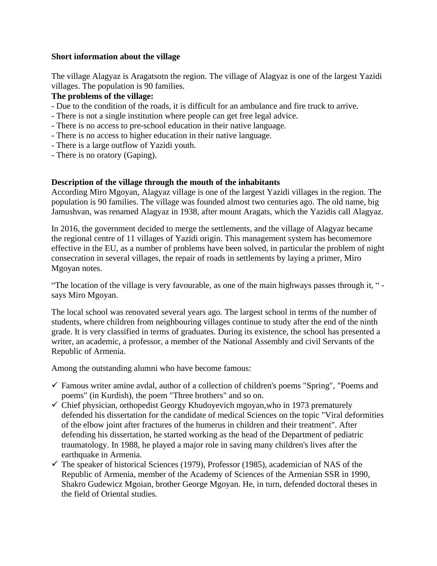# **Short information about the village**

The village Alagyaz is Aragatsotn the region. The village of Alagyaz is one of the largest Yazidi villages. The population is 90 families.

# **The problems of the village:**

- Due to the condition of the roads, it is difficult for an ambulance and fire truck to arrive.
- There is not a single institution where people can get free legal advice.
- There is no access to pre-school education in their native language.
- There is no access to higher education in their native language.
- There is a large outflow of Yazidi youth.
- There is no oratory (Gaping).

# **Description of the village through the mouth of the inhabitants**

According Miro Mgoyan, Alagyaz village is one of the largest Yazidi villages in the region. The population is 90 families. The village was founded almost two centuries ago. The old name, big Jamushvan, was renamed Alagyaz in 1938, after mount Aragats, which the Yazidis call Alagyaz.

In 2016, the government decided to merge the settlements, and the village of Alagyaz became the regional centre of 11 villages of Yazidi origin. This management system has becomemore effective in the EU, as a number of problems have been solved, in particular the problem of night consecration in several villages, the repair of roads in settlements by laying a primer, Miro Mgoyan notes.

"The location of the village is very favourable, as one of the main highways passes through it, " says Miro Mgoyan.

The local school was renovated several years ago. The largest school in terms of the number of students, where children from neighbouring villages continue to study after the end of the ninth grade. It is very classified in terms of graduates. During its existence, the school has presented a writer, an academic, a professor, a member of the National Assembly and civil Servants of the Republic of Armenia.

Among the outstanding alumni who have become famous:

- $\checkmark$  Famous writer amine avdal, author of a collection of children's poems "Spring", "Poems and poems" (in Kurdish), the poem "Three brothers" and so on.
- $\checkmark$  Chief physician, orthopedist Georgy Khudoyevich mgoyan, who in 1973 prematurely defended his dissertation for the candidate of medical Sciences on the topic "Viral deformities of the elbow joint after fractures of the humerus in children and their treatment". After defending his dissertation, he started working as the head of the Department of pediatric traumatology. In 1988, he played a major role in saving many children's lives after the earthquake in Armenia.
- $\checkmark$  The speaker of historical Sciences (1979), Professor (1985), academician of NAS of the Republic of Armenia, member of the Academy of Sciences of the Armenian SSR in 1990, Shakro Gudewicz Mgoian, brother George Mgoyan. He, in turn, defended doctoral theses in the field of Oriental studies.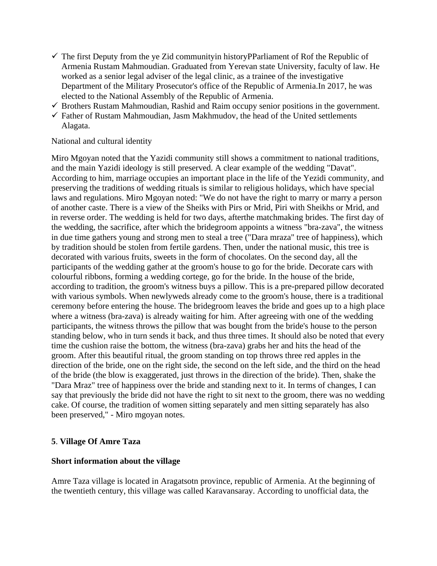- $\checkmark$  The first Deputy from the ye Zid communityin historyPParliament of Rof the Republic of Armenia Rustam Mahmoudian. Graduated from Yerevan state University, faculty of law. He worked as a senior legal adviser of the legal clinic, as a trainee of the investigative Department of the Military Prosecutor's office of the Republic of Armenia.In 2017, he was elected to the National Assembly of the Republic of Armenia.
- $\checkmark$  Brothers Rustam Mahmoudian, Rashid and Raim occupy senior positions in the government.
- $\checkmark$  Father of Rustam Mahmoudian, Jasm Makhmudov, the head of the United settlements Alagata.

# National and cultural identity

Miro Mgoyan noted that the Yazidi community still shows a commitment to national traditions, and the main Yazidi ideology is still preserved. A clear example of the wedding "Davat". According to him, marriage occupies an important place in the life of the Yezidi community, and preserving the traditions of wedding rituals is similar to religious holidays, which have special laws and regulations. Miro Mgoyan noted: "We do not have the right to marry or marry a person of another caste. There is a view of the Sheiks with Pirs or Mrid, Piri with Sheikhs or Mrid, and in reverse order. The wedding is held for two days, afterthe matchmaking brides. The first day of the wedding, the sacrifice, after which the bridegroom appoints a witness "bra-zava", the witness in due time gathers young and strong men to steal a tree ("Dara mraza" tree of happiness), which by tradition should be stolen from fertile gardens. Then, under the national music, this tree is decorated with various fruits, sweets in the form of chocolates. On the second day, all the participants of the wedding gather at the groom's house to go for the bride. Decorate cars with colourful ribbons, forming a wedding cortege, go for the bride. In the house of the bride, according to tradition, the groom's witness buys a pillow. This is a pre-prepared pillow decorated with various symbols. When newlyweds already come to the groom's house, there is a traditional ceremony before entering the house. The bridegroom leaves the bride and goes up to a high place where a witness (bra-zava) is already waiting for him. After agreeing with one of the wedding participants, the witness throws the pillow that was bought from the bride's house to the person standing below, who in turn sends it back, and thus three times. It should also be noted that every time the cushion raise the bottom, the witness (bra-zava) grabs her and hits the head of the groom. After this beautiful ritual, the groom standing on top throws three red apples in the direction of the bride, one on the right side, the second on the left side, and the third on the head of the bride (the blow is exaggerated, just throws in the direction of the bride). Then, shake the "Dara Mraz" tree of happiness over the bride and standing next to it. In terms of changes, I can say that previously the bride did not have the right to sit next to the groom, there was no wedding cake. Of course, the tradition of women sitting separately and men sitting separately has also been preserved," - Miro mgoyan notes.

# **5**. **Village Of Amre Taza**

# **Short information about the village**

Amre Taza village is located in Aragatsotn province, republic of Armenia. At the beginning of the twentieth century, this village was called Karavansaray. According to unofficial data, the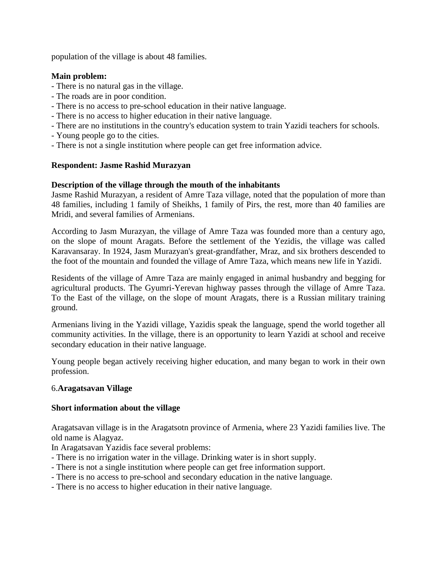population of the village is about 48 families.

# **Main problem:**

- There is no natural gas in the village.
- The roads are in poor condition.
- There is no access to pre-school education in their native language.
- There is no access to higher education in their native language.
- There are no institutions in the country's education system to train Yazidi teachers for schools.
- Young people go to the cities.
- There is not a single institution where people can get free information advice.

# **Respondent: Jasme Rashid Murazyan**

# **Description of the village through the mouth of the inhabitants**

Jasme Rashid Murazyan, a resident of Amre Taza village, noted that the population of more than 48 families, including 1 family of Sheikhs, 1 family of Pirs, the rest, more than 40 families are Mridi, and several families of Armenians.

According to Jasm Murazyan, the village of Amre Taza was founded more than a century ago, on the slope of mount Aragats. Before the settlement of the Yezidis, the village was called Karavansaray. In 1924, Jasm Murazyan's great-grandfather, Mraz, and six brothers descended to the foot of the mountain and founded the village of Amre Taza, which means new life in Yazidi.

Residents of the village of Amre Taza are mainly engaged in animal husbandry and begging for agricultural products. The Gyumri-Yerevan highway passes through the village of Amre Taza. To the East of the village, on the slope of mount Aragats, there is a Russian military training ground.

Armenians living in the Yazidi village, Yazidis speak the language, spend the world together all community activities. In the village, there is an opportunity to learn Yazidi at school and receive secondary education in their native language.

Young people began actively receiving higher education, and many began to work in their own profession.

# 6.**Aragatsavan Village**

# **Short information about the village**

Aragatsavan village is in the Aragatsotn province of Armenia, where 23 Yazidi families live. The old name is Alagyaz.

In Aragatsavan Yazidis face several problems:

- There is no irrigation water in the village. Drinking water is in short supply.
- There is not a single institution where people can get free information support.
- There is no access to pre-school and secondary education in the native language.
- There is no access to higher education in their native language.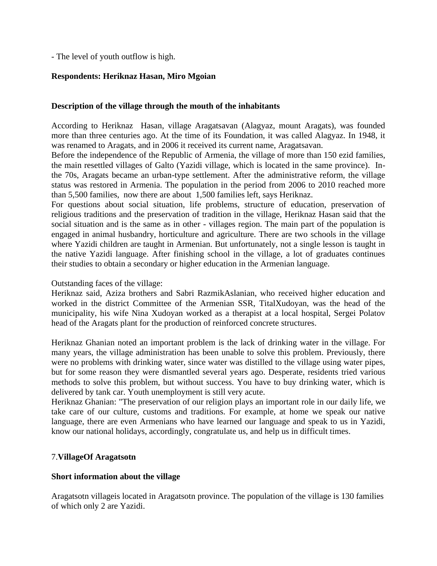- The level of youth outflow is high.

# **Respondents: Heriknaz Hasan, Miro Mgoian**

#### **Description of the village through the mouth of the inhabitants**

According to Heriknaz Hasan, village Aragatsavan (Alagyaz, mount Aragats), was founded more than three centuries ago. At the time of its Foundation, it was called Alagyaz. In 1948, it was renamed to Aragats, and in 2006 it received its current name, Aragatsavan.

Before the independence of the Republic of Armenia, the village of more than 150 ezid families, the main resettled villages of Galto (Yazidi village, which is located in the same province). Inthe 70s, Aragats became an urban-type settlement. After the administrative reform, the village status was restored in Armenia. The population in the period from 2006 to 2010 reached more than 5,500 families, now there are about 1,500 families left, says Heriknaz.

For questions about social situation, life problems, structure of education, preservation of religious traditions and the preservation of tradition in the village, Heriknaz Hasan said that the social situation and is the same as in other - villages region. The main part of the population is engaged in animal husbandry, horticulture and agriculture. There are two schools in the village where Yazidi children are taught in Armenian. But unfortunately, not a single lesson is taught in the native Yazidi language. After finishing school in the village, a lot of graduates continues their studies to obtain a secondary or higher education in the Armenian language.

Outstanding faces of the village:

Heriknaz said, Aziza brothers and Sabri RazmikAslanian, who received higher education and worked in the district Committee of the Armenian SSR, TitalXudoyan, was the head of the municipality, his wife Nina Xudoyan worked as a therapist at a local hospital, Sergei Polatov head of the Aragats plant for the production of reinforced concrete structures.

Heriknaz Ghanian noted an important problem is the lack of drinking water in the village. For many years, the village administration has been unable to solve this problem. Previously, there were no problems with drinking water, since water was distilled to the village using water pipes, but for some reason they were dismantled several years ago. Desperate, residents tried various methods to solve this problem, but without success. You have to buy drinking water, which is delivered by tank car. Youth unemployment is still very acute.

Heriknaz Ghanian: "The preservation of our religion plays an important role in our daily life, we take care of our culture, customs and traditions. For example, at home we speak our native language, there are even Armenians who have learned our language and speak to us in Yazidi, know our national holidays, accordingly, congratulate us, and help us in difficult times.

# 7.**VillageOf Aragatsotn**

#### **Short information about the village**

Aragatsotn villageis located in Aragatsotn province. The population of the village is 130 families of which only 2 are Yazidi.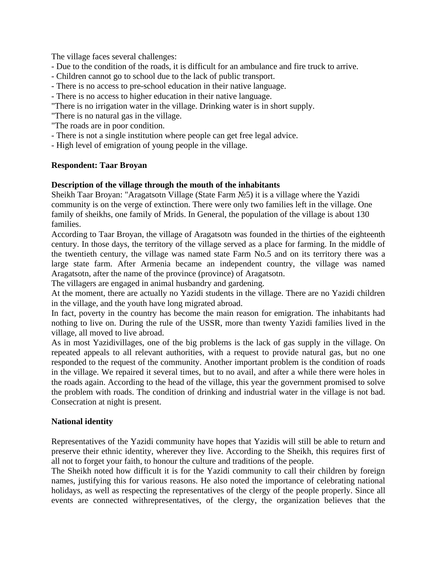The village faces several challenges:

- Due to the condition of the roads, it is difficult for an ambulance and fire truck to arrive.
- Children cannot go to school due to the lack of public transport.
- There is no access to pre-school education in their native language.
- There is no access to higher education in their native language.
- "There is no irrigation water in the village. Drinking water is in short supply.
- "There is no natural gas in the village.
- "The roads are in poor condition.
- There is not a single institution where people can get free legal advice.
- High level of emigration of young people in the village.

# **Respondent: Taar Broyan**

# **Description of the village through the mouth of the inhabitants**

Sheikh Taar Broyan: "Aragatsotn Village (State Farm №5) it is a village where the Yazidi community is on the verge of extinction. There were only two families left in the village. One family of sheikhs, one family of Mrids. In General, the population of the village is about 130 families.

According to Taar Broyan, the village of Aragatsotn was founded in the thirties of the eighteenth century. In those days, the territory of the village served as a place for farming. In the middle of the twentieth century, the village was named state Farm No.5 and on its territory there was a large state farm. After Armenia became an independent country, the village was named Aragatsotn, after the name of the province (province) of Aragatsotn.

The villagers are engaged in animal husbandry and gardening.

At the moment, there are actually no Yazidi students in the village. There are no Yazidi children in the village, and the youth have long migrated abroad.

In fact, poverty in the country has become the main reason for emigration. The inhabitants had nothing to live on. During the rule of the USSR, more than twenty Yazidi families lived in the village, all moved to live abroad.

As in most Yazidivillages, one of the big problems is the lack of gas supply in the village. On repeated appeals to all relevant authorities, with a request to provide natural gas, but no one responded to the request of the community. Another important problem is the condition of roads in the village. We repaired it several times, but to no avail, and after a while there were holes in the roads again. According to the head of the village, this year the government promised to solve the problem with roads. The condition of drinking and industrial water in the village is not bad. Consecration at night is present.

# **National identity**

Representatives of the Yazidi community have hopes that Yazidis will still be able to return and preserve their ethnic identity, wherever they live. According to the Sheikh, this requires first of all not to forget your faith, to honour the culture and traditions of the people.

The Sheikh noted how difficult it is for the Yazidi community to call their children by foreign names, justifying this for various reasons. He also noted the importance of celebrating national holidays, as well as respecting the representatives of the clergy of the people properly. Since all events are connected withrepresentatives, of the clergy, the organization believes that the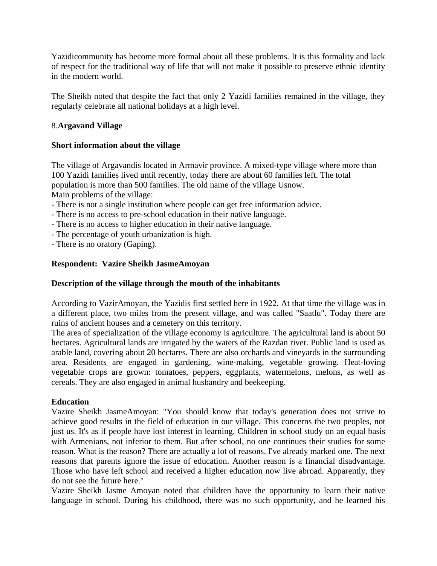Yazidicommunity has become more formal about all these problems. It is this formality and lack of respect for the traditional way of life that will not make it possible to preserve ethnic identity in the modern world.

The Sheikh noted that despite the fact that only 2 Yazidi families remained in the village, they regularly celebrate all national holidays at a high level.

# 8.**Argavand Village**

# **Short information about the village**

The village of Argavandis located in Armavir province. A mixed-type village where more than 100 Yazidi families lived until recently, today there are about 60 families left. The total population is more than 500 families. The old name of the village Usnow. Main problems of the village:

- There is not a single institution where people can get free information advice.
- There is no access to pre-school education in their native language.
- There is no access to higher education in their native language.
- The percentage of youth urbanization is high.
- There is no oratory (Gaping).

# **Respondent: Vazire Sheikh JasmeAmoyan**

# **Description of the village through the mouth of the inhabitants**

According to VazirAmoyan, the Yazidis first settled here in 1922. At that time the village was in a different place, two miles from the present village, and was called "Saatlu". Today there are ruins of ancient houses and a cemetery on this territory.

The area of specialization of the village economy is agriculture. The agricultural land is about 50 hectares. Agricultural lands are irrigated by the waters of the Razdan river. Public land is used as arable land, covering about 20 hectares. There are also orchards and vineyards in the surrounding area. Residents are engaged in gardening, wine-making, vegetable growing. Heat-loving vegetable crops are grown: tomatoes, peppers, eggplants, watermelons, melons, as well as cereals. They are also engaged in animal husbandry and beekeeping.

# **Education**

Vazire Sheikh JasmeAmoyan: "You should know that today's generation does not strive to achieve good results in the field of education in our village. This concerns the two peoples, not just us. It's as if people have lost interest in learning. Children in school study on an equal basis with Armenians, not inferior to them. But after school, no one continues their studies for some reason. What is the reason? There are actually a lot of reasons. I've already marked one. The next reasons that parents ignore the issue of education. Another reason is a financial disadvantage. Those who have left school and received a higher education now live abroad. Apparently, they do not see the future here."

Vazire Sheikh Jasme Amoyan noted that children have the opportunity to learn their native language in school. During his childhood, there was no such opportunity, and he learned his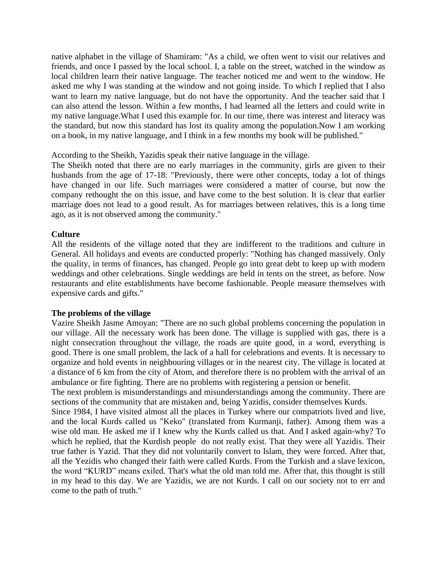native alphabet in the village of Shamiram: "As a child, we often went to visit our relatives and friends, and once I passed by the local school. I, a table on the street, watched in the window as local children learn their native language. The teacher noticed me and went to the window. He asked me why I was standing at the window and not going inside. To which I replied that I also want to learn my native language, but do not have the opportunity. And the teacher said that I can also attend the lesson. Within a few months, I had learned all the letters and could write in my native language.What I used this example for. In our time, there was interest and literacy was the standard, but now this standard has lost its quality among the population.Now I am working on a book, in my native language, and I think in a few months my book will be published."

According to the Sheikh, Yazidis speak their native language in the village.

The Sheikh noted that there are no early marriages in the community, girls are given to their husbands from the age of 17-18: "Previously, there were other concepts, today a lot of things have changed in our life. Such marriages were considered a matter of course, but now the company rethought the on this issue, and have come to the best solution. It is clear that earlier marriage does not lead to a good result. As for marriages between relatives, this is a long time ago, as it is not observed among the community."

# **Culture**

All the residents of the village noted that they are indifferent to the traditions and culture in General. All holidays and events are conducted properly: "Nothing has changed massively. Only the quality, in terms of finances, has changed. People go into great debt to keep up with modern weddings and other celebrations. Single weddings are held in tents on the street, as before. Now restaurants and elite establishments have become fashionable. People measure themselves with expensive cards and gifts."

# **The problems of the village**

Vazire Sheikh Jasme Amoyan: "There are no such global problems concerning the population in our village. All the necessary work has been done. The village is supplied with gas, there is a night consecration throughout the village, the roads are quite good, in a word, everything is good. There is one small problem, the lack of a hall for celebrations and events. It is necessary to organize and hold events in neighbouring villages or in the nearest city. The village is located at a distance of 6 km from the city of Atom, and therefore there is no problem with the arrival of an ambulance or fire fighting. There are no problems with registering a pension or benefit.

The next problem is misunderstandings and misunderstandings among the community. There are sections of the community that are mistaken and, being Yazidis, consider themselves Kurds.

Since 1984, I have visited almost all the places in Turkey where our compatriots lived and live, and the local Kurds called us "Keko" (translated from Kurmanji, father). Among them was a wise old man. He asked me if I knew why the Kurds called us that. And I asked again-why? To which he replied, that the Kurdish people do not really exist. That they were all Yazidis. Their true father is Yazid. That they did not voluntarily convert to Islam, they were forced. After that, all the Yezidis who changed their faith were called Kurds. From the Turkish and a slave lexicon, the word "KURD" means exiled. That's what the old man told me. After that, this thought is still in my head to this day. We are Yazidis, we are not Kurds. I call on our society not to err and come to the path of truth."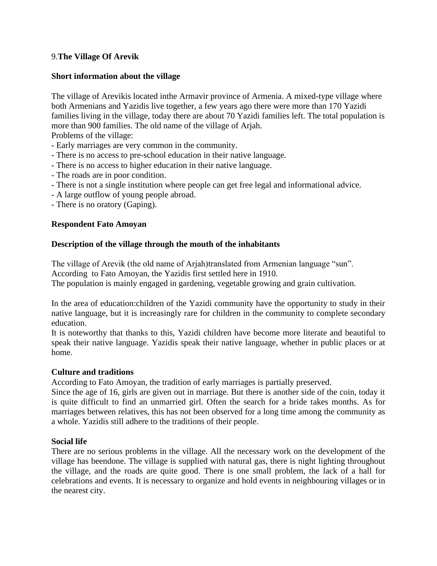# 9.**The Village Of Arevik**

# **Short information about the village**

The village of Arevikis located inthe Armavir province of Armenia. A mixed-type village where both Armenians and Yazidis live together, a few years ago there were more than 170 Yazidi families living in the village, today there are about 70 Yazidi families left. The total population is more than 900 families. The old name of the village of Arjah.

Problems of the village:

- Early marriages are very common in the community.
- There is no access to pre-school education in their native language.
- There is no access to higher education in their native language.
- The roads are in poor condition.
- There is not a single institution where people can get free legal and informational advice.
- A large outflow of young people abroad.
- There is no oratory (Gaping).

# **Respondent Fato Amoyan**

# **Description of the village through the mouth of the inhabitants**

The village of Arevik (the old name of Arjah)translated from Armenian language "sun". According to Fato Amoyan, the Yazidis first settled here in 1910. The population is mainly engaged in gardening, vegetable growing and grain cultivation.

In the area of education:children of the Yazidi community have the opportunity to study in their native language, but it is increasingly rare for children in the community to complete secondary education.

It is noteworthy that thanks to this, Yazidi children have become more literate and beautiful to speak their native language. Yazidis speak their native language, whether in public places or at home.

# **Culture and traditions**

According to Fato Amoyan, the tradition of early marriages is partially preserved.

Since the age of 16, girls are given out in marriage. But there is another side of the coin, today it is quite difficult to find an unmarried girl. Often the search for a bride takes months. As for marriages between relatives, this has not been observed for a long time among the community as a whole. Yazidis still adhere to the traditions of their people.

# **Social life**

There are no serious problems in the village. All the necessary work on the development of the village has beendone. The village is supplied with natural gas, there is night lighting throughout the village, and the roads are quite good. There is one small problem, the lack of a hall for celebrations and events. It is necessary to organize and hold events in neighbouring villages or in the nearest city.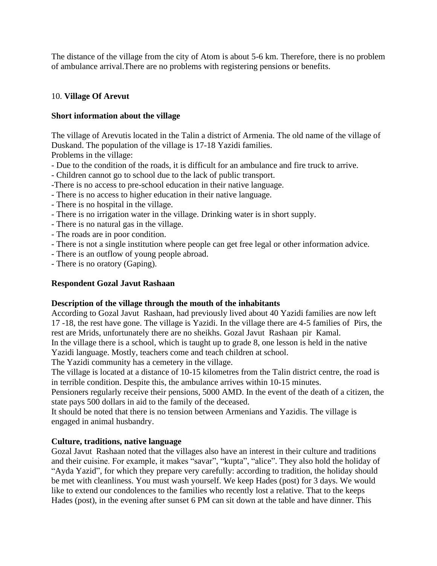The distance of the village from the city of Atom is about 5-6 km. Therefore, there is no problem of ambulance arrival.There are no problems with registering pensions or benefits.

# 10. **Village Of Arevut**

# **Short information about the village**

The village of Arevutis located in the Talin a district of Armenia. The old name of the village of Duskand. The population of the village is 17-18 Yazidi families.

Problems in the village:

- Due to the condition of the roads, it is difficult for an ambulance and fire truck to arrive.
- Children cannot go to school due to the lack of public transport.
- -There is no access to pre-school education in their native language.
- There is no access to higher education in their native language.
- There is no hospital in the village.
- There is no irrigation water in the village. Drinking water is in short supply.
- There is no natural gas in the village.
- The roads are in poor condition.
- There is not a single institution where people can get free legal or other information advice.
- There is an outflow of young people abroad.
- There is no oratory (Gaping).

# **Respondent Gozal Javut Rashaan**

# **Description of the village through the mouth of the inhabitants**

According to Gozal Javut Rashaan, had previously lived about 40 Yazidi families are now left 17 -18, the rest have gone. The village is Yazidi. In the village there are 4-5 families of Pirs, the rest are Mrids, unfortunately there are no sheikhs. Gozal Javut Rashaan pir Kamal.

In the village there is a school, which is taught up to grade 8, one lesson is held in the native Yazidi language. Mostly, teachers come and teach children at school.

The Yazidi community has a cemetery in the village.

The village is located at a distance of 10-15 kilometres from the Talin district centre, the road is in terrible condition. Despite this, the ambulance arrives within 10-15 minutes.

Pensioners regularly receive their pensions, 5000 AMD. In the event of the death of a citizen, the state pays 500 dollars in aid to the family of the deceased.

It should be noted that there is no tension between Armenians and Yazidis. The village is engaged in animal husbandry.

# **Culture, traditions, native language**

Gozal Javut Rashaan noted that the villages also have an interest in their culture and traditions and their cuisine. For example, it makes "savar", "kupta", "alice". They also hold the holiday of "Ayda Yazid", for which they prepare very carefully: according to tradition, the holiday should be met with cleanliness. You must wash yourself. We keep Hades (post) for 3 days. We would like to extend our condolences to the families who recently lost a relative. That to the keeps Hades (post), in the evening after sunset 6 PM can sit down at the table and have dinner. This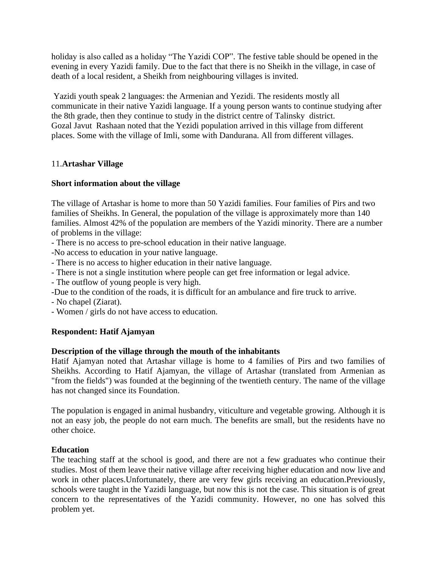holiday is also called as a holiday "The Yazidi COP". The festive table should be opened in the evening in every Yazidi family. Due to the fact that there is no Sheikh in the village, in case of death of a local resident, a Sheikh from neighbouring villages is invited.

Yazidi youth speak 2 languages: the Armenian and Yezidi. The residents mostly all communicate in their native Yazidi language. If a young person wants to continue studying after the 8th grade, then they continue to study in the district centre of Talinsky district. Gozal Javut Rashaan noted that the Yezidi population arrived in this village from different places. Some with the village of Imli, some with Dandurana. All from different villages.

# 11.**Artashar Village**

# **Short information about the village**

The village of Artashar is home to more than 50 Yazidi families. Four families of Pirs and two families of Sheikhs. In General, the population of the village is approximately more than 140 families. Almost 42% of the population are members of the Yazidi minority. There are a number of problems in the village:

- There is no access to pre-school education in their native language.
- -No access to education in your native language.
- There is no access to higher education in their native language.
- There is not a single institution where people can get free information or legal advice.
- The outflow of young people is very high.
- -Due to the condition of the roads, it is difficult for an ambulance and fire truck to arrive.
- No chapel (Ziarat).
- Women / girls do not have access to education.

# **Respondent: Hatif Ajamyan**

# **Description of the village through the mouth of the inhabitants**

Hatif Ajamyan noted that Artashar village is home to 4 families of Pirs and two families of Sheikhs. According to Hatif Ajamyan, the village of Artashar (translated from Armenian as "from the fields") was founded at the beginning of the twentieth century. The name of the village has not changed since its Foundation.

The population is engaged in animal husbandry, viticulture and vegetable growing. Although it is not an easy job, the people do not earn much. The benefits are small, but the residents have no other choice.

# **Education**

The teaching staff at the school is good, and there are not a few graduates who continue their studies. Most of them leave their native village after receiving higher education and now live and work in other places.Unfortunately, there are very few girls receiving an education.Previously, schools were taught in the Yazidi language, but now this is not the case. This situation is of great concern to the representatives of the Yazidi community. However, no one has solved this problem yet.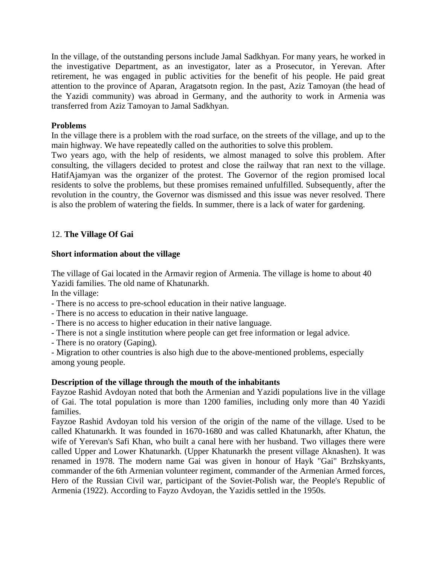In the village, of the outstanding persons include Jamal Sadkhyan. For many years, he worked in the investigative Department, as an investigator, later as a Prosecutor, in Yerevan. After retirement, he was engaged in public activities for the benefit of his people. He paid great attention to the province of Aparan, Aragatsotn region. In the past, Aziz Tamoyan (the head of the Yazidi community) was abroad in Germany, and the authority to work in Armenia was transferred from Aziz Tamoyan to Jamal Sadkhyan.

# **Problems**

In the village there is a problem with the road surface, on the streets of the village, and up to the main highway. We have repeatedly called on the authorities to solve this problem.

Two years ago, with the help of residents, we almost managed to solve this problem. After consulting, the villagers decided to protest and close the railway that ran next to the village. HatifAjamyan was the organizer of the protest. The Governor of the region promised local residents to solve the problems, but these promises remained unfulfilled. Subsequently, after the revolution in the country, the Governor was dismissed and this issue was never resolved. There is also the problem of watering the fields. In summer, there is a lack of water for gardening.

# 12. **The Village Of Gai**

# **Short information about the village**

The village of Gai located in the Armavir region of Armenia. The village is home to about 40 Yazidi families. The old name of Khatunarkh.

In the village:

- There is no access to pre-school education in their native language.
- There is no access to education in their native language.
- There is no access to higher education in their native language.
- There is not a single institution where people can get free information or legal advice.
- There is no oratory (Gaping).

- Migration to other countries is also high due to the above-mentioned problems, especially among young people.

# **Description of the village through the mouth of the inhabitants**

Fayzoe Rashid Avdoyan noted that both the Armenian and Yazidi populations live in the village of Gai. The total population is more than 1200 families, including only more than 40 Yazidi families.

Fayzoe Rashid Avdoyan told his version of the origin of the name of the village. Used to be called Khatunarkh. It was founded in 1670-1680 and was called Khatunarkh, after Khatun, the wife of Yerevan's Safi Khan, who built a canal here with her husband. Two villages there were called Upper and Lower Khatunarkh. (Upper Khatunarkh the present village Aknashen). It was renamed in 1978. The modern name Gai was given in honour of Hayk "Gai" Brzhskyants, commander of the 6th Armenian volunteer regiment, commander of the Armenian Armed forces, Hero of the Russian Civil war, participant of the Soviet-Polish war, the People's Republic of Armenia (1922). According to Fayzo Avdoyan, the Yazidis settled in the 1950s.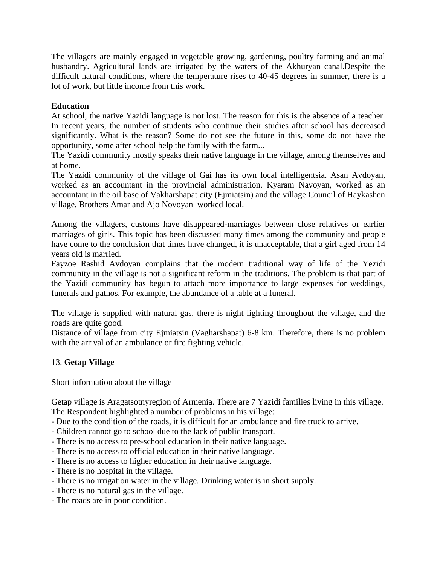The villagers are mainly engaged in vegetable growing, gardening, poultry farming and animal husbandry. Agricultural lands are irrigated by the waters of the Akhuryan canal.Despite the difficult natural conditions, where the temperature rises to 40-45 degrees in summer, there is a lot of work, but little income from this work.

# **Education**

At school, the native Yazidi language is not lost. The reason for this is the absence of a teacher. In recent years, the number of students who continue their studies after school has decreased significantly. What is the reason? Some do not see the future in this, some do not have the opportunity, some after school help the family with the farm...

The Yazidi community mostly speaks their native language in the village, among themselves and at home.

The Yazidi community of the village of Gai has its own local intelligentsia. Asan Avdoyan, worked as an accountant in the provincial administration. Kyaram Navoyan, worked as an accountant in the oil base of Vakharshapat city (Ejmiatsin) and the village Council of Haykashen village. Brothers Amar and Ajo Novoyan worked local.

Among the villagers, customs have disappeared-marriages between close relatives or earlier marriages of girls. This topic has been discussed many times among the community and people have come to the conclusion that times have changed, it is unacceptable, that a girl aged from 14 years old is married.

Fayzoe Rashid Avdoyan complains that the modern traditional way of life of the Yezidi community in the village is not a significant reform in the traditions. The problem is that part of the Yazidi community has begun to attach more importance to large expenses for weddings, funerals and pathos. For example, the abundance of a table at a funeral.

The village is supplied with natural gas, there is night lighting throughout the village, and the roads are quite good.

Distance of village from city Ejmiatsin (Vagharshapat) 6-8 km. Therefore, there is no problem with the arrival of an ambulance or fire fighting vehicle.

# 13. **Getap Village**

Short information about the village

Getap village is Aragatsotnyregion of Armenia. There are 7 Yazidi families living in this village. The Respondent highlighted a number of problems in his village:

- Due to the condition of the roads, it is difficult for an ambulance and fire truck to arrive.

- Children cannot go to school due to the lack of public transport.
- There is no access to pre-school education in their native language.
- There is no access to official education in their native language.
- There is no access to higher education in their native language.
- There is no hospital in the village.
- There is no irrigation water in the village. Drinking water is in short supply.
- There is no natural gas in the village.
- The roads are in poor condition.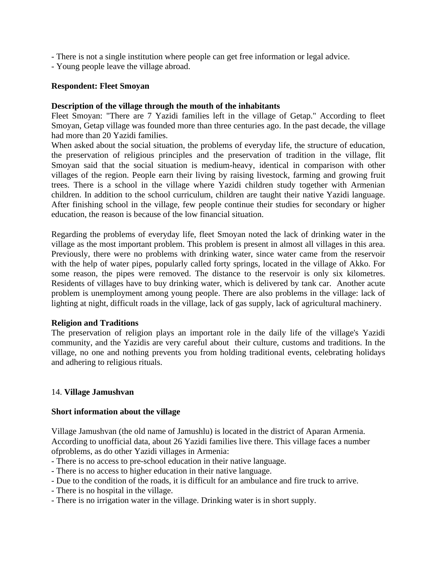- There is not a single institution where people can get free information or legal advice.
- Young people leave the village abroad.

# **Respondent: Fleet Smoyan**

# **Description of the village through the mouth of the inhabitants**

Fleet Smoyan: "There are 7 Yazidi families left in the village of Getap." According to fleet Smoyan, Getap village was founded more than three centuries ago. In the past decade, the village had more than 20 Yazidi families.

When asked about the social situation, the problems of everyday life, the structure of education, the preservation of religious principles and the preservation of tradition in the village, flit Smoyan said that the social situation is medium-heavy, identical in comparison with other villages of the region. People earn their living by raising livestock, farming and growing fruit trees. There is a school in the village where Yazidi children study together with Armenian children. In addition to the school curriculum, children are taught their native Yazidi language. After finishing school in the village, few people continue their studies for secondary or higher education, the reason is because of the low financial situation.

Regarding the problems of everyday life, fleet Smoyan noted the lack of drinking water in the village as the most important problem. This problem is present in almost all villages in this area. Previously, there were no problems with drinking water, since water came from the reservoir with the help of water pipes, popularly called forty springs, located in the village of Akko. For some reason, the pipes were removed. The distance to the reservoir is only six kilometres. Residents of villages have to buy drinking water, which is delivered by tank car. Another acute problem is unemployment among young people. There are also problems in the village: lack of lighting at night, difficult roads in the village, lack of gas supply, lack of agricultural machinery.

# **Religion and Traditions**

The preservation of religion plays an important role in the daily life of the village's Yazidi community, and the Yazidis are very careful about their culture, customs and traditions. In the village, no one and nothing prevents you from holding traditional events, celebrating holidays and adhering to religious rituals.

# 14. **Village Jamushvan**

# **Short information about the village**

Village Jamushvan (the old name of Jamushlu) is located in the district of Aparan Armenia. According to unofficial data, about 26 Yazidi families live there. This village faces a number ofproblems, as do other Yazidi villages in Armenia:

- There is no access to pre-school education in their native language.
- There is no access to higher education in their native language.
- Due to the condition of the roads, it is difficult for an ambulance and fire truck to arrive.
- There is no hospital in the village.
- There is no irrigation water in the village. Drinking water is in short supply.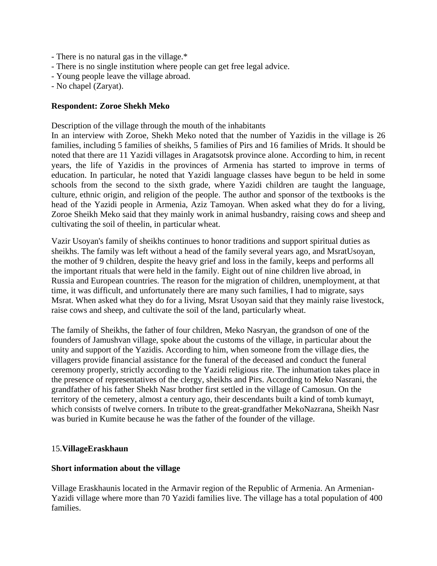- There is no natural gas in the village.\*
- There is no single institution where people can get free legal advice.
- Young people leave the village abroad.
- No chapel (Zaryat).

# **Respondent: Zoroe Shekh Meko**

Description of the village through the mouth of the inhabitants

In an interview with Zoroe, Shekh Meko noted that the number of Yazidis in the village is 26 families, including 5 families of sheikhs, 5 families of Pirs and 16 families of Mrids. It should be noted that there are 11 Yazidi villages in Aragatsotsk province alone. According to him, in recent years, the life of Yazidis in the provinces of Armenia has started to improve in terms of education. In particular, he noted that Yazidi language classes have begun to be held in some schools from the second to the sixth grade, where Yazidi children are taught the language, culture, ethnic origin, and religion of the people. The author and sponsor of the textbooks is the head of the Yazidi people in Armenia, Aziz Tamoyan. When asked what they do for a living, Zoroe Sheikh Meko said that they mainly work in animal husbandry, raising cows and sheep and cultivating the soil of theelin, in particular wheat.

Vazir Usoyan's family of sheikhs continues to honor traditions and support spiritual duties as sheikhs. The family was left without a head of the family several years ago, and MsratUsoyan, the mother of 9 children, despite the heavy grief and loss in the family, keeps and performs all the important rituals that were held in the family. Eight out of nine children live abroad, in Russia and European countries. The reason for the migration of children, unemployment, at that time, it was difficult, and unfortunately there are many such families, I had to migrate, says Msrat. When asked what they do for a living, Msrat Usoyan said that they mainly raise livestock, raise cows and sheep, and cultivate the soil of the land, particularly wheat.

The family of Sheikhs, the father of four children, Meko Nasryan, the grandson of one of the founders of Jamushvan village, spoke about the customs of the village, in particular about the unity and support of the Yazidis. According to him, when someone from the village dies, the villagers provide financial assistance for the funeral of the deceased and conduct the funeral ceremony properly, strictly according to the Yazidi religious rite. The inhumation takes place in the presence of representatives of the clergy, sheikhs and Pirs. According to Meko Nasrani, the grandfather of his father Shekh Nasr brother first settled in the village of Camosun. On the territory of the cemetery, almost a century ago, their descendants built a kind of tomb kumayt, which consists of twelve corners. In tribute to the great-grandfather MekoNazrana, Sheikh Nasr was buried in Kumite because he was the father of the founder of the village.

# 15.**VillageEraskhaun**

#### **Short information about the village**

Village Eraskhaunis located in the Armavir region of the Republic of Armenia. An Armenian-Yazidi village where more than 70 Yazidi families live. The village has a total population of 400 families.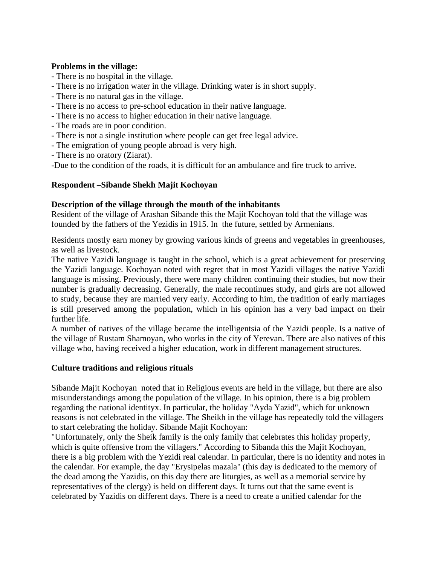# **Problems in the village:**

- There is no hospital in the village.
- There is no irrigation water in the village. Drinking water is in short supply.
- There is no natural gas in the village.
- There is no access to pre-school education in their native language.
- There is no access to higher education in their native language.
- The roads are in poor condition.
- There is not a single institution where people can get free legal advice.
- The emigration of young people abroad is very high.
- There is no oratory (Ziarat).

-Due to the condition of the roads, it is difficult for an ambulance and fire truck to arrive.

# **Respondent –Sibande Shekh Majit Kochoyan**

# **Description of the village through the mouth of the inhabitants**

Resident of the village of Arashan Sibande this the Majit Kochoyan told that the village was founded by the fathers of the Yezidis in 1915. In the future, settled by Armenians.

Residents mostly earn money by growing various kinds of greens and vegetables in greenhouses, as well as livestock.

The native Yazidi language is taught in the school, which is a great achievement for preserving the Yazidi language. Kochoyan noted with regret that in most Yazidi villages the native Yazidi language is missing. Previously, there were many children continuing their studies, but now their number is gradually decreasing. Generally, the male recontinues study, and girls are not allowed to study, because they are married very early. According to him, the tradition of early marriages is still preserved among the population, which in his opinion has a very bad impact on their further life.

A number of natives of the village became the intelligentsia of the Yazidi people. Is a native of the village of Rustam Shamoyan, who works in the city of Yerevan. There are also natives of this village who, having received a higher education, work in different management structures.

# **Culture traditions and religious rituals**

Sibande Majit Kochoyan noted that in Religious events are held in the village, but there are also misunderstandings among the population of the village. In his opinion, there is a big problem regarding the national identityх. In particular, the holiday "Ayda Yazid", which for unknown reasons is not celebrated in the village. The Sheikh in the village has repeatedly told the villagers to start celebrating the holiday. Sibande Majit Kochoyan:

"Unfortunately, only the Sheik family is the only family that celebrates this holiday properly, which is quite offensive from the villagers." According to Sibanda this the Majit Kochoyan, there is a big problem with the Yezidi real calendar. In particular, there is no identity and notes in the calendar. For example, the day "Erysipelas mazala" (this day is dedicated to the memory of the dead among the Yazidis, on this day there are liturgies, as well as a memorial service by representatives of the clergy) is held on different days. It turns out that the same event is celebrated by Yazidis on different days. There is a need to create a unified calendar for the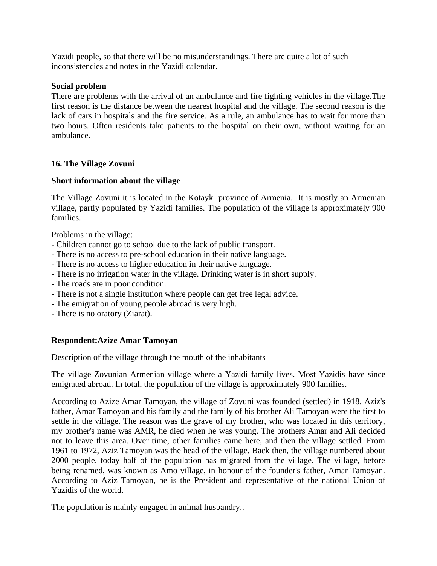Yazidi people, so that there will be no misunderstandings. There are quite a lot of such inconsistencies and notes in the Yazidi calendar.

# **Social problem**

There are problems with the arrival of an ambulance and fire fighting vehicles in the village.The first reason is the distance between the nearest hospital and the village. The second reason is the lack of cars in hospitals and the fire service. As a rule, an ambulance has to wait for more than two hours. Often residents take patients to the hospital on their own, without waiting for an ambulance.

# **16. The Village Zovuni**

# **Short information about the village**

The Village Zovuni it is located in the Kotayk province of Armenia. It is mostly an Armenian village, partly populated by Yazidi families. The population of the village is approximately 900 families.

Problems in the village:

- Children cannot go to school due to the lack of public transport.
- There is no access to pre-school education in their native language.
- There is no access to higher education in their native language.
- There is no irrigation water in the village. Drinking water is in short supply.
- The roads are in poor condition.
- There is not a single institution where people can get free legal advice.
- The emigration of young people abroad is very high.
- There is no oratory (Ziarat).

# **Respondent:Azize Amar Tamoyan**

Description of the village through the mouth of the inhabitants

The village Zovunian Armenian village where a Yazidi family lives. Most Yazidis have since emigrated abroad. In total, the population of the village is approximately 900 families.

According to Azize Amar Tamoyan, the village of Zovuni was founded (settled) in 1918. Aziz's father, Amar Tamoyan and his family and the family of his brother Ali Tamoyan were the first to settle in the village. The reason was the grave of my brother, who was located in this territory, my brother's name was AMR, he died when he was young. The brothers Amar and Ali decided not to leave this area. Over time, other families came here, and then the village settled. From 1961 to 1972, Aziz Tamoyan was the head of the village. Back then, the village numbered about 2000 people, today half of the population has migrated from the village. The village, before being renamed, was known as Amo village, in honour of the founder's father, Amar Tamoyan. According to Aziz Tamoyan, he is the President and representative of the national Union of Yazidis of the world.

The population is mainly engaged in animal husbandry..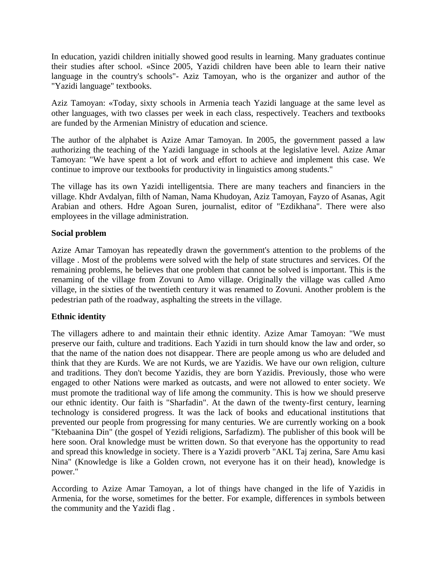In education, yazidi children initially showed good results in learning. Many graduates continue their studies after school. «Since 2005, Yazidi children have been able to learn their native language in the country's schools"- Aziz Tamoyan, who is the organizer and author of the "Yazidi language" textbooks.

Aziz Tamoyan: «Today, sixty schools in Armenia teach Yazidi language at the same level as other languages, with two classes per week in each class, respectively. Teachers and textbooks are funded by the Armenian Ministry of education and science.

The author of the alphabet is Azize Amar Tamoyan. In 2005, the government passed a law authorizing the teaching of the Yazidi language in schools at the legislative level. Azize Amar Tamoyan: "We have spent a lot of work and effort to achieve and implement this case. We continue to improve our textbooks for productivity in linguistics among students."

The village has its own Yazidi intelligentsia. There are many teachers and financiers in the village. Khdr Avdalyan, filth of Naman, Nama Khudoyan, Aziz Tamoyan, Fayzo of Asanas, Agit Arabian and others. Hdre Agoan Suren, journalist, editor of "Ezdikhana". There were also employees in the village administration.

# **Social problem**

Azize Amar Tamoyan has repeatedly drawn the government's attention to the problems of the village . Most of the problems were solved with the help of state structures and services. Of the remaining problems, he believes that one problem that cannot be solved is important. This is the renaming of the village from Zovuni to Amo village. Originally the village was called Amo village, in the sixties of the twentieth century it was renamed to Zovuni. Another problem is the pedestrian path of the roadway, asphalting the streets in the village.

# **Ethnic identity**

The villagers adhere to and maintain their ethnic identity. Azize Amar Tamoyan: "We must preserve our faith, culture and traditions. Each Yazidi in turn should know the law and order, so that the name of the nation does not disappear. There are people among us who are deluded and think that they are Kurds. We are not Kurds, we are Yazidis. We have our own religion, culture and traditions. They don't become Yazidis, they are born Yazidis. Previously, those who were engaged to other Nations were marked as outcasts, and were not allowed to enter society. We must promote the traditional way of life among the community. This is how we should preserve our ethnic identity. Our faith is "Sharfadin". At the dawn of the twenty-first century, learning technology is considered progress. It was the lack of books and educational institutions that prevented our people from progressing for many centuries. We are currently working on a book "Ktebaanina Din" (the gospel of Yezidi religions, Sarfadizm). The publisher of this book will be here soon. Oral knowledge must be written down. So that everyone has the opportunity to read and spread this knowledge in society. There is a Yazidi proverb "AKL Taj zerina, Sare Amu kasi Nina" (Knowledge is like a Golden crown, not everyone has it on their head), knowledge is power."

According to Azize Amar Tamoyan, a lot of things have changed in the life of Yazidis in Armenia, for the worse, sometimes for the better. For example, differences in symbols between the community and the Yazidi flag .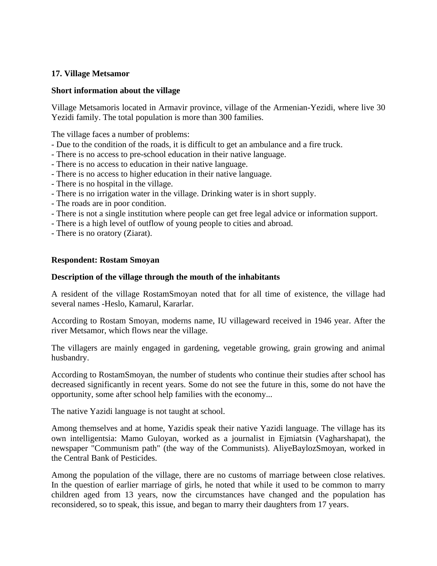# **17. Village Metsamor**

# **Short information about the village**

Village Metsamoris located in Armavir province, village of the Armenian-Yezidi, where live 30 Yezidi family. The total population is more than 300 families.

The village faces a number of problems:

- Due to the condition of the roads, it is difficult to get an ambulance and a fire truck.
- There is no access to pre-school education in their native language.
- There is no access to education in their native language.
- There is no access to higher education in their native language.
- There is no hospital in the village.
- There is no irrigation water in the village. Drinking water is in short supply.
- The roads are in poor condition.
- There is not a single institution where people can get free legal advice or information support.
- There is a high level of outflow of young people to cities and abroad.
- There is no oratory (Ziarat).

# **Respondent: Rostam Smoyan**

# **Description of the village through the mouth of the inhabitants**

A resident of the village RostamSmoyan noted that for all time of existence, the village had several names -Heslo, Kamarul, Kararlar.

According to Rostam Smoyan, moderns name, IU villageward received in 1946 year. After the river Metsamor, which flows near the village.

The villagers are mainly engaged in gardening, vegetable growing, grain growing and animal husbandry.

According to RostamSmoyan, the number of students who continue their studies after school has decreased significantly in recent years. Some do not see the future in this, some do not have the opportunity, some after school help families with the economy...

The native Yazidi language is not taught at school.

Among themselves and at home, Yazidis speak their native Yazidi language. The village has its own intelligentsia: Mamo Guloyan, worked as a journalist in Ejmiatsin (Vagharshapat), the newspaper "Communism path" (the way of the Communists). AliyeBaylozSmoyan, worked in the Central Bank of Pesticides.

Among the population of the village, there are no customs of marriage between close relatives. In the question of earlier marriage of girls, he noted that while it used to be common to marry children aged from 13 years, now the circumstances have changed and the population has reconsidered, so to speak, this issue, and began to marry their daughters from 17 years.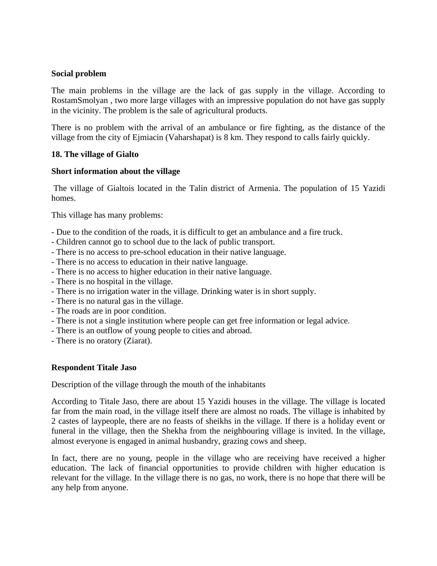# **Social problem**

The main problems in the village are the lack of gas supply in the village. According to RostamSmolyan , two more large villages with an impressive population do not have gas supply in the vicinity. The problem is the sale of agricultural products.

There is no problem with the arrival of an ambulance or fire fighting, as the distance of the village from the city of Ejmiacin (Vaharshapat) is 8 km. They respond to calls fairly quickly.

# **18. The village of Gialto**

# **Short information about the village**

The village of Gialtois located in the Talin district of Armenia. The population of 15 Yazidi homes.

This village has many problems:

- Due to the condition of the roads, it is difficult to get an ambulance and a fire truck.
- Children cannot go to school due to the lack of public transport.
- There is no access to pre-school education in their native language.
- There is no access to education in their native language.
- There is no access to higher education in their native language.
- There is no hospital in the village.
- There is no irrigation water in the village. Drinking water is in short supply.
- There is no natural gas in the village.
- The roads are in poor condition.
- There is not a single institution where people can get free information or legal advice.
- There is an outflow of young people to cities and abroad.
- There is no oratory (Ziarat).

# **Respondent Titale Jaso**

Description of the village through the mouth of the inhabitants

According to Titale Jaso, there are about 15 Yazidi houses in the village. The village is located far from the main road, in the village itself there are almost no roads. The village is inhabited by 2 castes of laypeople, there are no feasts of sheikhs in the village. If there is a holiday event or funeral in the village, then the Shekha from the neighbouring village is invited. In the village, almost everyone is engaged in animal husbandry, grazing cows and sheep.

In fact, there are no young, people in the village who are receiving have received a higher education. The lack of financial opportunities to provide children with higher education is relevant for the village. In the village there is no gas, no work, there is no hope that there will be any help from anyone.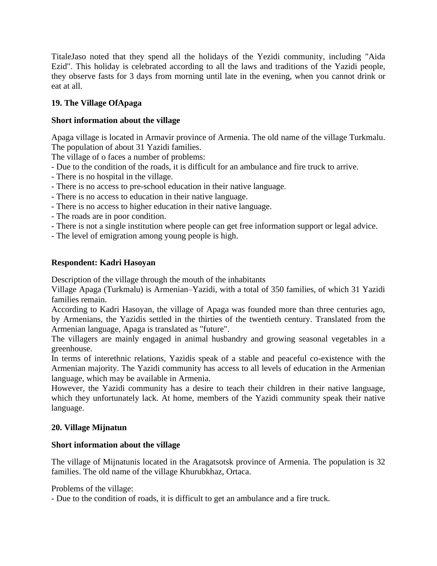TitaleJaso noted that they spend all the holidays of the Yezidi community, including "Aida Ezid". This holiday is celebrated according to all the laws and traditions of the Yazidi people, they observe fasts for 3 days from morning until late in the evening, when you cannot drink or eat at all.

# **19. The Village OfApaga**

# **Short information about the village**

Apaga village is located in Armavir province of Armenia. The old name of the village Turkmalu. The population of about 31 Yazidi families.

The village of o faces a number of problems:

- Due to the condition of the roads, it is difficult for an ambulance and fire truck to arrive.
- There is no hospital in the village.
- There is no access to pre-school education in their native language.
- There is no access to education in their native language.
- There is no access to higher education in their native language.
- The roads are in poor condition.
- There is not a single institution where people can get free information support or legal advice.
- The level of emigration among young people is high.

# **Respondent: Kadri Hasoyan**

Description of the village through the mouth of the inhabitants

Village Apaga (Turkmalu) is Armenian–Yazidi, with a total of 350 families, of which 31 Yazidi families remain.

According to Kadri Hasoyan, the village of Apaga was founded more than three centuries ago, by Armenians, the Yazidis settled in the thirties of the twentieth century. Translated from the Armenian language, Apaga is translated as "future".

The villagers are mainly engaged in animal husbandry and growing seasonal vegetables in a greenhouse.

In terms of interethnic relations, Yazidis speak of a stable and peaceful co-existence with the Armenian majority. The Yazidi community has access to all levels of education in the Armenian language, which may be available in Armenia.

However, the Yazidi community has a desire to teach their children in their native language, which they unfortunately lack. At home, members of the Yazidi community speak their native language.

# **20. Village Mijnatun**

# **Short information about the village**

The village of Mijnatunis located in the Aragatsotsk province of Armenia. The population is 32 families. The old name of the village Khurubkhaz, Ortaca.

Problems of the village:

- Due to the condition of roads, it is difficult to get an ambulance and a fire truck.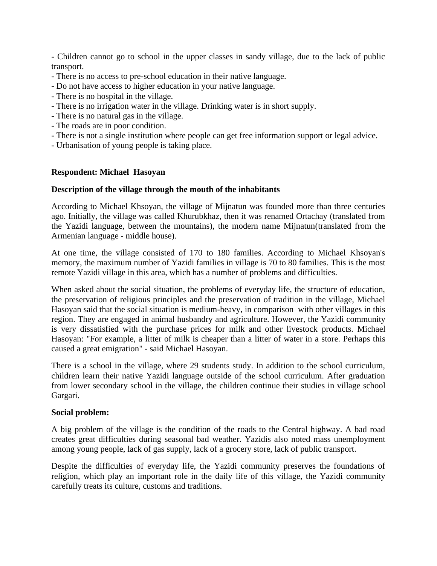- Children cannot go to school in the upper classes in sandy village, due to the lack of public transport.

- There is no access to pre-school education in their native language.
- Do not have access to higher education in your native language.
- There is no hospital in the village.
- There is no irrigation water in the village. Drinking water is in short supply.
- There is no natural gas in the village.
- The roads are in poor condition.
- There is not a single institution where people can get free information support or legal advice.
- Urbanisation of young people is taking place.

# **Respondent: Michael Hasoyan**

# **Description of the village through the mouth of the inhabitants**

According to Michael Khsoyan, the village of Mijnatun was founded more than three centuries ago. Initially, the village was called Khurubkhaz, then it was renamed Ortachay (translated from the Yazidi language, between the mountains), the modern name Mijnatun(translated from the Armenian language - middle house).

At one time, the village consisted of 170 to 180 families. According to Michael Khsoyan's memory, the maximum number of Yazidi families in village is 70 to 80 families. This is the most remote Yazidi village in this area, which has a number of problems and difficulties.

When asked about the social situation, the problems of everyday life, the structure of education, the preservation of religious principles and the preservation of tradition in the village, Michael Hasoyan said that the social situation is medium-heavy, in comparison with other villages in this region. They are engaged in animal husbandry and agriculture. However, the Yazidi community is very dissatisfied with the purchase prices for milk and other livestock products. Michael Hasoyan: "For example, a litter of milk is cheaper than a litter of water in a store. Perhaps this caused a great emigration" - said Michael Hasoyan.

There is a school in the village, where 29 students study. In addition to the school curriculum, children learn their native Yazidi language outside of the school curriculum. After graduation from lower secondary school in the village, the children continue their studies in village school Gargari.

# **Social problem:**

A big problem of the village is the condition of the roads to the Central highway. A bad road creates great difficulties during seasonal bad weather. Yazidis also noted mass unemployment among young people, lack of gas supply, lack of a grocery store, lack of public transport.

Despite the difficulties of everyday life, the Yazidi community preserves the foundations of religion, which play an important role in the daily life of this village, the Yazidi community carefully treats its culture, customs and traditions.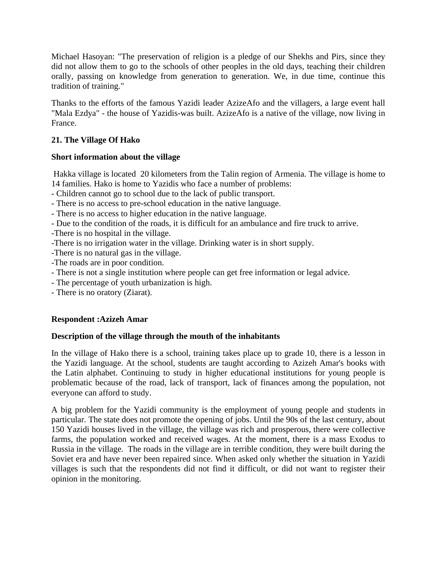Michael Hasoyan: "The preservation of religion is a pledge of our Shekhs and Pirs, since they did not allow them to go to the schools of other peoples in the old days, teaching their children orally, passing on knowledge from generation to generation. We, in due time, continue this tradition of training."

Thanks to the efforts of the famous Yazidi leader AzizeAfo and the villagers, a large event hall "Mala Ezdya" - the house of Yazidis-was built. AzizeAfo is a native of the village, now living in France.

# **21. The Village Of Hako**

# **Short information about the village**

Hakka village is located 20 kilometers from the Talin region of Armenia. The village is home to 14 families. Hako is home to Yazidis who face a number of problems:

- Children cannot go to school due to the lack of public transport.
- There is no access to pre-school education in the native language.
- There is no access to higher education in the native language.
- Due to the condition of the roads, it is difficult for an ambulance and fire truck to arrive.
- -There is no hospital in the village.
- -There is no irrigation water in the village. Drinking water is in short supply.
- -There is no natural gas in the village.
- -The roads are in poor condition.
- There is not a single institution where people can get free information or legal advice.
- The percentage of youth urbanization is high.
- There is no oratory (Ziarat).

# **Respondent :Azizeh Amar**

# **Description of the village through the mouth of the inhabitants**

In the village of Hako there is a school, training takes place up to grade 10, there is a lesson in the Yazidi language. At the school, students are taught according to Azizeh Amar's books with the Latin alphabet. Continuing to study in higher educational institutions for young people is problematic because of the road, lack of transport, lack of finances among the population, not everyone can afford to study.

A big problem for the Yazidi community is the employment of young people and students in particular. The state does not promote the opening of jobs. Until the 90s of the last century, about 150 Yazidi houses lived in the village, the village was rich and prosperous, there were collective farms, the population worked and received wages. At the moment, there is a mass Exodus to Russia in the village. The roads in the village are in terrible condition, they were built during the Soviet era and have never been repaired since. When asked only whether the situation in Yazidi villages is such that the respondents did not find it difficult, or did not want to register their opinion in the monitoring.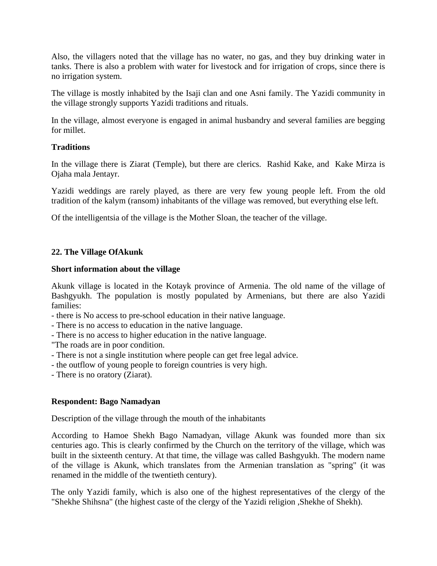Also, the villagers noted that the village has no water, no gas, and they buy drinking water in tanks. There is also a problem with water for livestock and for irrigation of crops, since there is no irrigation system.

The village is mostly inhabited by the Isaji clan and one Asni family. The Yazidi community in the village strongly supports Yazidi traditions and rituals.

In the village, almost everyone is engaged in animal husbandry and several families are begging for millet.

# **Traditions**

In the village there is Ziarat (Temple), but there are clerics. Rashid Kake, and Kake Mirza is Ojaha mala Jentayr.

Yazidi weddings are rarely played, as there are very few young people left. From the old tradition of the kalym (ransom) inhabitants of the village was removed, but everything else left.

Of the intelligentsia of the village is the Mother Sloan, the teacher of the village.

# **22. The Village OfAkunk**

# **Short information about the village**

Akunk village is located in the Kotayk province of Armenia. The old name of the village of Bashgyukh. The population is mostly populated by Armenians, but there are also Yazidi families:

- there is No access to pre-school education in their native language.
- There is no access to education in the native language.
- There is no access to higher education in the native language.
- "The roads are in poor condition.
- There is not a single institution where people can get free legal advice.
- the outflow of young people to foreign countries is very high.
- There is no oratory (Ziarat).

# **Respondent: Bago Namadyan**

Description of the village through the mouth of the inhabitants

According to Hamoe Shekh Bago Namadyan, village Akunk was founded more than six centuries ago. This is clearly confirmed by the Church on the territory of the village, which was built in the sixteenth century. At that time, the village was called Bashgyukh. The modern name of the village is Akunk, which translates from the Armenian translation as "spring" (it was renamed in the middle of the twentieth century).

The only Yazidi family, which is also one of the highest representatives of the clergy of the "Shekhe Shihsna" (the highest caste of the clergy of the Yazidi religion ,Shekhe of Shekh).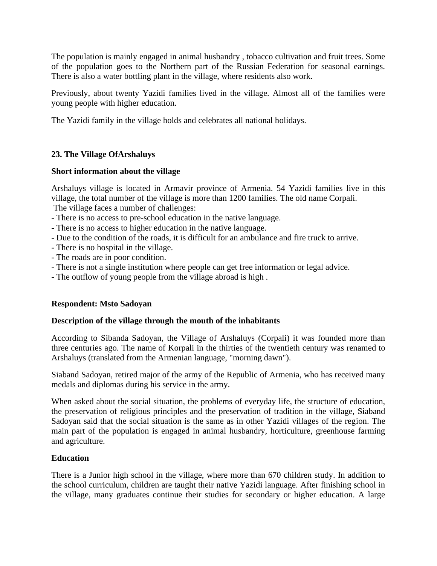The population is mainly engaged in animal husbandry , tobacco cultivation and fruit trees. Some of the population goes to the Northern part of the Russian Federation for seasonal earnings. There is also a water bottling plant in the village, where residents also work.

Previously, about twenty Yazidi families lived in the village. Almost all of the families were young people with higher education.

The Yazidi family in the village holds and celebrates all national holidays.

# **23. The Village OfArshaluys**

# **Short information about the village**

Arshaluys village is located in Armavir province of Armenia. 54 Yazidi families live in this village, the total number of the village is more than 1200 families. The old name Corpali. The village faces a number of challenges:

- There is no access to pre-school education in the native language.
- There is no access to higher education in the native language.
- Due to the condition of the roads, it is difficult for an ambulance and fire truck to arrive.
- There is no hospital in the village.
- The roads are in poor condition.
- There is not a single institution where people can get free information or legal advice.
- The outflow of young people from the village abroad is high .

# **Respondent: Msto Sadoyan**

# **Description of the village through the mouth of the inhabitants**

According to Sibanda Sadoyan, the Village of Arshaluys (Corpali) it was founded more than three centuries ago. The name of Korpali in the thirties of the twentieth century was renamed to Arshaluys (translated from the Armenian language, "morning dawn").

Siaband Sadoyan, retired major of the army of the Republic of Armenia, who has received many medals and diplomas during his service in the army.

When asked about the social situation, the problems of everyday life, the structure of education, the preservation of religious principles and the preservation of tradition in the village, Siaband Sadoyan said that the social situation is the same as in other Yazidi villages of the region. The main part of the population is engaged in animal husbandry, horticulture, greenhouse farming and agriculture.

# **Education**

There is a Junior high school in the village, where more than 670 children study. In addition to the school curriculum, children are taught their native Yazidi language. After finishing school in the village, many graduates continue their studies for secondary or higher education. A large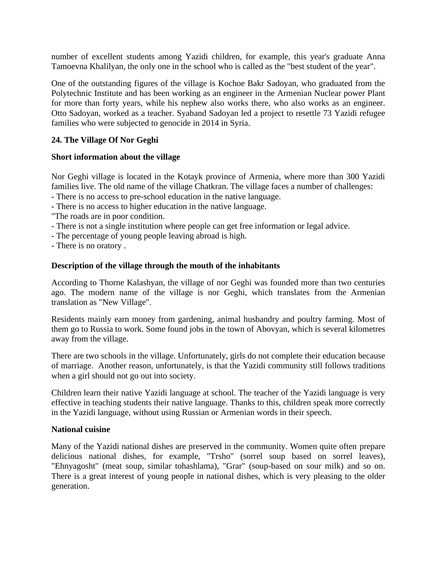number of excellent students among Yazidi children, for example, this year's graduate Anna Tamoevna Khalilyan, the only one in the school who is called as the "best student of the year".

One of the outstanding figures of the village is Kochoe Bakr Sadoyan, who graduated from the Polytechnic Institute and has been working as an engineer in the Armenian Nuclear power Plant for more than forty years, while his nephew also works there, who also works as an engineer. Otto Sadoyan, worked as a teacher. Syaband Sadoyan led a project to resettle 73 Yazidi refugee families who were subjected to genocide in 2014 in Syria.

# **24. The Village Of Nor Geghi**

# **Short information about the village**

Nor Geghi village is located in the Kotayk province of Armenia, where more than 300 Yazidi families live. The old name of the village Chatkran. The village faces a number of challenges:

- There is no access to pre-school education in the native language.
- There is no access to higher education in the native language.
- "The roads are in poor condition.
- There is not a single institution where people can get free information or legal advice.
- The percentage of young people leaving abroad is high.
- There is no oratory .

# **Description of the village through the mouth of the inhabitants**

According to Thorne Kalashyan, the village of nor Geghi was founded more than two centuries ago. The modern name of the village is nor Geghi, which translates from the Armenian translation as "New Village".

Residents mainly earn money from gardening, animal husbandry and poultry farming. Most of them go to Russia to work. Some found jobs in the town of Abovyan, which is several kilometres away from the village.

There are two schools in the village. Unfortunately, girls do not complete their education because of marriage. Another reason, unfortunately, is that the Yazidi community still follows traditions when a girl should not go out into society.

Children learn their native Yazidi language at school. The teacher of the Yazidi language is very effective in teaching students their native language. Thanks to this, children speak more correctly in the Yazidi language, without using Russian or Armenian words in their speech.

# **National cuisine**

Many of the Yazidi national dishes are preserved in the community. Women quite often prepare delicious national dishes, for example, "Trsho" (sorrel soup based on sorrel leaves), "Ehnyagosht" (meat soup, similar tohashlama), "Grar" (soup-based on sour milk) and so on. There is a great interest of young people in national dishes, which is very pleasing to the older generation.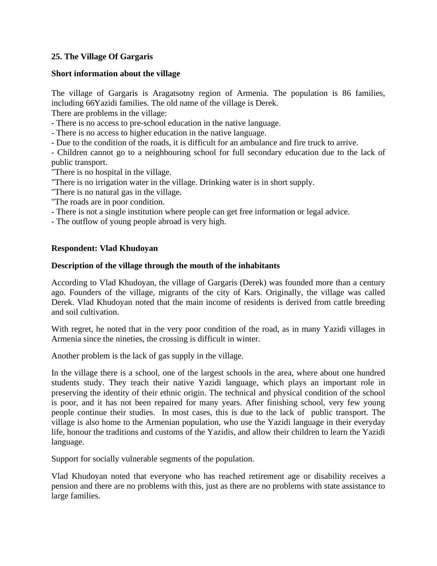# **25. The Village Of Gargaris**

#### **Short information about the village**

The village of Gargaris is Aragatsotny region of Armenia. The population is 86 families, including 66Yazidi families. The old name of the village is Derek.

There are problems in the village:

- There is no access to pre-school education in the native language.

- There is no access to higher education in the native language.

- Due to the condition of the roads, it is difficult for an ambulance and fire truck to arrive.

- Children cannot go to a neighbouring school for full secondary education due to the lack of public transport.

"There is no hospital in the village.

"There is no irrigation water in the village. Drinking water is in short supply.

"There is no natural gas in the village.

- "The roads are in poor condition.
- There is not a single institution where people can get free information or legal advice.

- The outflow of young people abroad is very high.

# **Respondent: Vlad Khudoyan**

#### **Description of the village through the mouth of the inhabitants**

According to Vlad Khudoyan, the village of Gargaris (Derek) was founded more than a century ago. Founders of the village, migrants of the city of Kars. Originally, the village was called Derek. Vlad Khudoyan noted that the main income of residents is derived from cattle breeding and soil cultivation.

With regret, he noted that in the very poor condition of the road, as in many Yazidi villages in Armenia since the nineties, the crossing is difficult in winter.

Another problem is the lack of gas supply in the village.

In the village there is a school, one of the largest schools in the area, where about one hundred students study. They teach their native Yazidi language, which plays an important role in preserving the identity of their ethnic origin. The technical and physical condition of the school is poor, and it has not been repaired for many years. After finishing school, very few young people continue their studies. In most cases, this is due to the lack of public transport. The village is also home to the Armenian population, who use the Yazidi language in their everyday life, honour the traditions and customs of the Yazidis, and allow their children to learn the Yazidi language.

Support for socially vulnerable segments of the population.

Vlad Khudoyan noted that everyone who has reached retirement age or disability receives a pension and there are no problems with this, just as there are no problems with state assistance to large families.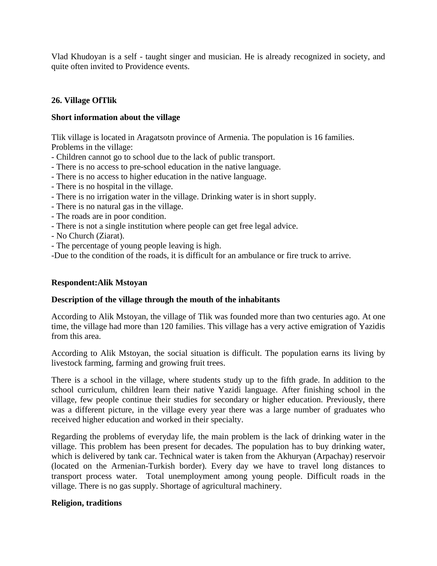Vlad Khudoyan is a self - taught singer and musician. He is already recognized in society, and quite often invited to Providence events.

# **26. Village OfTlik**

# **Short information about the village**

Tlik village is located in Aragatsotn province of Armenia. The population is 16 families. Problems in the village:

- Children cannot go to school due to the lack of public transport.
- There is no access to pre-school education in the native language.
- There is no access to higher education in the native language.
- There is no hospital in the village.
- There is no irrigation water in the village. Drinking water is in short supply.
- There is no natural gas in the village.
- The roads are in poor condition.
- There is not a single institution where people can get free legal advice.
- No Church (Ziarat).
- The percentage of young people leaving is high.
- -Due to the condition of the roads, it is difficult for an ambulance or fire truck to arrive.

# **Respondent:Alik Mstoyan**

# **Description of the village through the mouth of the inhabitants**

According to Alik Mstoyan, the village of Tlik was founded more than two centuries ago. At one time, the village had more than 120 families. This village has a very active emigration of Yazidis from this area.

According to Alik Mstoyan, the social situation is difficult. The population earns its living by livestock farming, farming and growing fruit trees.

There is a school in the village, where students study up to the fifth grade. In addition to the school curriculum, children learn their native Yazidi language. After finishing school in the village, few people continue their studies for secondary or higher education. Previously, there was a different picture, in the village every year there was a large number of graduates who received higher education and worked in their specialty.

Regarding the problems of everyday life, the main problem is the lack of drinking water in the village. This problem has been present for decades. The population has to buy drinking water, which is delivered by tank car. Technical water is taken from the Akhuryan (Arpachay) reservoir (located on the Armenian-Turkish border). Every day we have to travel long distances to transport process water. Total unemployment among young people. Difficult roads in the village. There is no gas supply. Shortage of agricultural machinery.

# **Religion, traditions**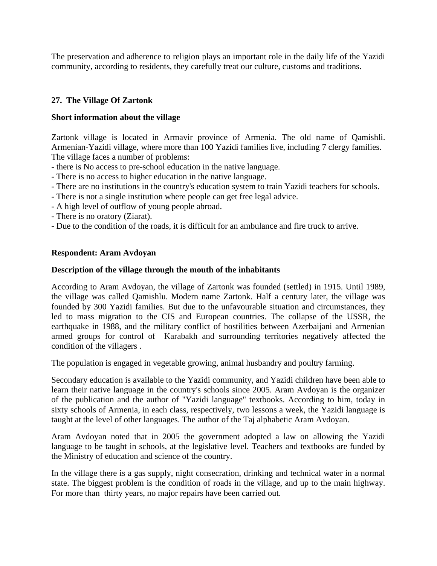The preservation and adherence to religion plays an important role in the daily life of the Yazidi community, according to residents, they carefully treat our culture, customs and traditions.

# **27. The Village Of Zartonk**

# **Short information about the village**

Zartonk village is located in Armavir province of Armenia. The old name of Qamishli. Armenian-Yazidi village, where more than 100 Yazidi families live, including 7 clergy families. The village faces a number of problems:

- there is No access to pre-school education in the native language.
- There is no access to higher education in the native language.
- There are no institutions in the country's education system to train Yazidi teachers for schools.
- There is not a single institution where people can get free legal advice.
- A high level of outflow of young people abroad.
- There is no oratory (Ziarat).
- Due to the condition of the roads, it is difficult for an ambulance and fire truck to arrive.

# **Respondent: Aram Avdoyan**

# **Description of the village through the mouth of the inhabitants**

According to Aram Avdoyan, the village of Zartonk was founded (settled) in 1915. Until 1989, the village was called Qamishlu. Modern name Zartonk. Half a century later, the village was founded by 300 Yazidi families. But due to the unfavourable situation and circumstances, they led to mass migration to the CIS and European countries. The collapse of the USSR, the earthquake in 1988, and the military conflict of hostilities between Azerbaijani and Armenian armed groups for control of Karabakh and surrounding territories negatively affected the condition of the villagers .

The population is engaged in vegetable growing, animal husbandry and poultry farming.

Secondary education is available to the Yazidi community, and Yazidi children have been able to learn their native language in the country's schools since 2005. Aram Avdoyan is the organizer of the publication and the author of "Yazidi language" textbooks. According to him, today in sixty schools of Armenia, in each class, respectively, two lessons a week, the Yazidi language is taught at the level of other languages. The author of the Taj alphabetic Aram Avdoyan.

Aram Avdoyan noted that in 2005 the government adopted a law on allowing the Yazidi language to be taught in schools, at the legislative level. Teachers and textbooks are funded by the Ministry of education and science of the country.

In the village there is a gas supply, night consecration, drinking and technical water in a normal state. The biggest problem is the condition of roads in the village, and up to the main highway. For more than thirty years, no major repairs have been carried out.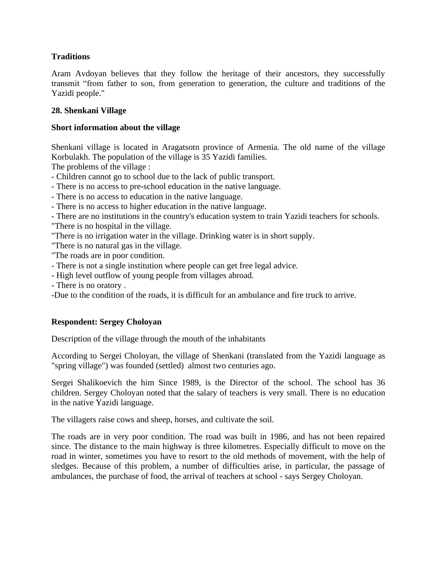# **Traditions**

Aram Avdoyan believes that they follow the heritage of their ancestors, they successfully transmit "from father to son, from generation to generation, the culture and traditions of the Yazidi people."

# **28. Shenkani Village**

# **Short information about the village**

Shenkani village is located in Aragatsotn province of Armenia. The old name of the village Korbulakh. The population of the village is 35 Yazidi families.

The problems of the village :

- Children cannot go to school due to the lack of public transport.
- There is no access to pre-school education in the native language.
- There is no access to education in the native language.
- There is no access to higher education in the native language.
- There are no institutions in the country's education system to train Yazidi teachers for schools. "There is no hospital in the village.
- "There is no irrigation water in the village. Drinking water is in short supply.
- "There is no natural gas in the village.
- "The roads are in poor condition.
- There is not a single institution where people can get free legal advice.
- High level outflow of young people from villages abroad.
- There is no oratory .
- -Due to the condition of the roads, it is difficult for an ambulance and fire truck to arrive.

# **Respondent: Sergey Choloyan**

Description of the village through the mouth of the inhabitants

According to Sergei Choloyan, the village of Shenkani (translated from the Yazidi language as "spring village") was founded (settled) almost two centuries ago.

Sergei Shalikoevich the him Since 1989, is the Director of the school. The school has 36 children. Sergey Choloyan noted that the salary of teachers is very small. There is no education in the native Yazidi language.

The villagers raise cows and sheep, horses, and cultivate the soil.

The roads are in very poor condition. The road was built in 1986, and has not been repaired since. The distance to the main highway is three kilometres. Especially difficult to move on the road in winter, sometimes you have to resort to the old methods of movement, with the help of sledges. Because of this problem, a number of difficulties arise, in particular, the passage of ambulances, the purchase of food, the arrival of teachers at school - says Sergey Choloyan.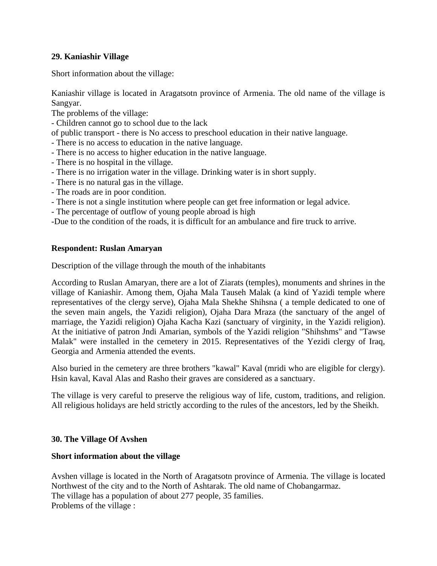# **29. Kaniashir Village**

Short information about the village:

Kaniashir village is located in Aragatsotn province of Armenia. The old name of the village is Sangyar.

The problems of the village:

- Children cannot go to school due to the lack

of public transport - there is No access to preschool education in their native language.

- There is no access to education in the native language.
- There is no access to higher education in the native language.
- There is no hospital in the village.
- There is no irrigation water in the village. Drinking water is in short supply.
- There is no natural gas in the village.
- The roads are in poor condition.
- There is not a single institution where people can get free information or legal advice.
- The percentage of outflow of young people abroad is high

-Due to the condition of the roads, it is difficult for an ambulance and fire truck to arrive.

# **Respondent: Ruslan Amaryan**

Description of the village through the mouth of the inhabitants

According to Ruslan Amaryan, there are a lot of Ziarats (temples), monuments and shrines in the village of Kaniashir. Among them, Ojaha Mala Tauseh Malak (a kind of Yazidi temple where representatives of the clergy serve), Ojaha Mala Shekhe Shihsna ( a temple dedicated to one of the seven main angels, the Yazidi religion), Ojaha Dara Mraza (the sanctuary of the angel of marriage, the Yazidi religion) Ojaha Kacha Kazi (sanctuary of virginity, in the Yazidi religion). At the initiative of patron Jndi Amarian, symbols of the Yazidi religion "Shihshms" and "Tawse Malak" were installed in the cemetery in 2015. Representatives of the Yezidi clergy of Iraq, Georgia and Armenia attended the events.

Also buried in the cemetery are three brothers "kawal" Kaval (mridi who are eligible for clergy). Hsin kaval, Kaval Alas and Rasho their graves are considered as a sanctuary.

The village is very careful to preserve the religious way of life, custom, traditions, and religion. All religious holidays are held strictly according to the rules of the ancestors, led by the Sheikh.

# **30. The Village Of Avshen**

# **Short information about the village**

Avshen village is located in the North of Aragatsotn province of Armenia. The village is located Northwest of the city and to the North of Ashtarak. The old name of Chobangarmaz. The village has a population of about 277 people, 35 families. Problems of the village :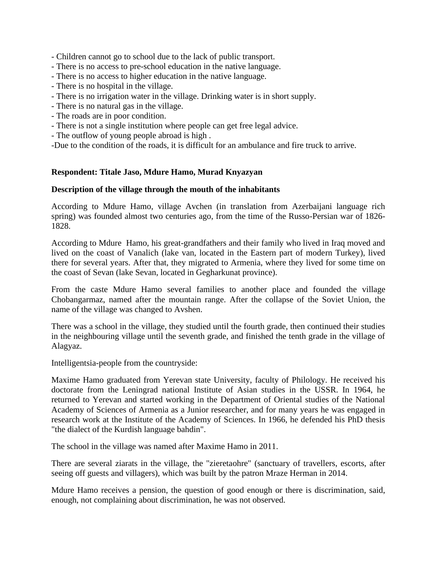- Children cannot go to school due to the lack of public transport.

- There is no access to pre-school education in the native language.
- There is no access to higher education in the native language.
- There is no hospital in the village.
- There is no irrigation water in the village. Drinking water is in short supply.
- There is no natural gas in the village.
- The roads are in poor condition.
- There is not a single institution where people can get free legal advice.
- The outflow of young people abroad is high .

-Due to the condition of the roads, it is difficult for an ambulance and fire truck to arrive.

# **Respondent: Titale Jaso, Mdure Hamo, Murad Knyazyan**

# **Description of the village through the mouth of the inhabitants**

According to Mdure Hamo, village Avchen (in translation from Azerbaijani language rich spring) was founded almost two centuries ago, from the time of the Russo-Persian war of 1826- 1828.

According to Mdure Hamo, his great-grandfathers and their family who lived in Iraq moved and lived on the coast of Vanalich (lake van, located in the Eastern part of modern Turkey), lived there for several years. After that, they migrated to Armenia, where they lived for some time on the coast of Sevan (lake Sevan, located in Gegharkunat province).

From the caste Mdure Hamo several families to another place and founded the village Chobangarmaz, named after the mountain range. After the collapse of the Soviet Union, the name of the village was changed to Avshen.

There was a school in the village, they studied until the fourth grade, then continued their studies in the neighbouring village until the seventh grade, and finished the tenth grade in the village of Alagyaz.

Intelligentsia-people from the countryside:

Maxime Hamo graduated from Yerevan state University, faculty of Philology. He received his doctorate from the Leningrad national Institute of Asian studies in the USSR. In 1964, he returned to Yerevan and started working in the Department of Oriental studies of the National Academy of Sciences of Armenia as a Junior researcher, and for many years he was engaged in research work at the Institute of the Academy of Sciences. In 1966, he defended his PhD thesis "the dialect of the Kurdish language bahdin".

The school in the village was named after Maxime Hamo in 2011.

There are several ziarats in the village, the "zieretaohre" (sanctuary of travellers, escorts, after seeing off guests and villagers), which was built by the patron Mraze Herman in 2014.

Mdure Hamo receives a pension, the question of good enough or there is discrimination, said, enough, not complaining about discrimination, he was not observed.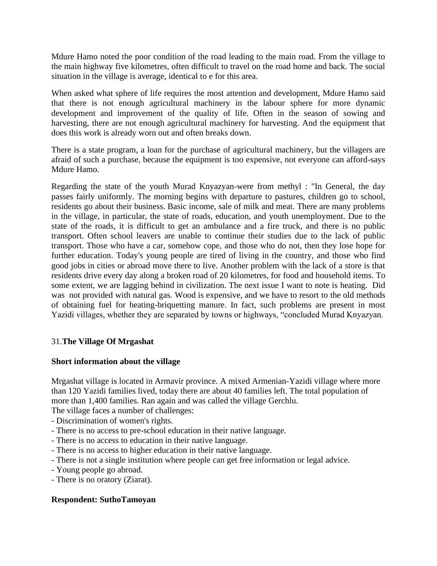Mdure Hamo noted the poor condition of the road leading to the main road. From the village to the main highway five kilometres, often difficult to travel on the road home and back. The social situation in the village is average, identical to e for this area.

When asked what sphere of life requires the most attention and development, Mdure Hamo said that there is not enough agricultural machinery in the labour sphere for more dynamic development and improvement of the quality of life. Often in the season of sowing and harvesting, there are not enough agricultural machinery for harvesting. And the equipment that does this work is already worn out and often breaks down.

There is a state program, a loan for the purchase of agricultural machinery, but the villagers are afraid of such a purchase, because the equipment is too expensive, not everyone can afford-says Mdure Hamo.

Regarding the state of the youth Murad Knyazyan-were from methyl : "In General, the day passes fairly uniformly. The morning begins with departure to pastures, children go to school, residents go about their business. Basic income, sale of milk and meat. There are many problems in the village, in particular, the state of roads, education, and youth unemployment. Due to the state of the roads, it is difficult to get an ambulance and a fire truck, and there is no public transport. Often school leavers are unable to continue their studies due to the lack of public transport. Those who have a car, somehow cope, and those who do not, then they lose hope for further education. Today's young people are tired of living in the country, and those who find good jobs in cities or abroad move there to live. Another problem with the lack of a store is that residents drive every day along a broken road of 20 kilometres, for food and household items. To some extent, we are lagging behind in civilization. The next issue I want to note is heating. Did was not provided with natural gas. Wood is expensive, and we have to resort to the old methods of obtaining fuel for heating-briquetting manure. In fact, such problems are present in most Yazidi villages, whether they are separated by towns or highways, "concluded Murad Knyazyan.

# 31.**The Village Of Mrgashat**

# **Short information about the village**

Mrgashat village is located in Armavir province. A mixed Armenian-Yazidi village where more than 120 Yazidi families lived, today there are about 40 families left. The total population of more than 1,400 families. Ran again and was called the village Gerchlu.

The village faces a number of challenges:

- Discrimination of women's rights.
- There is no access to pre-school education in their native language.
- There is no access to education in their native language.
- There is no access to higher education in their native language.
- There is not a single institution where people can get free information or legal advice.
- Young people go abroad.
- There is no oratory (Ziarat).

# **Respondent: SuthoTamoyan**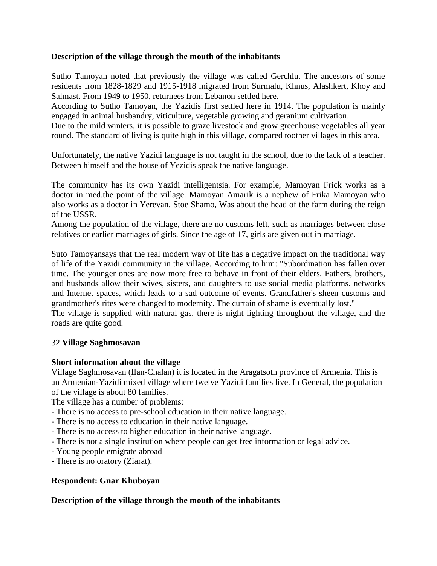# **Description of the village through the mouth of the inhabitants**

Sutho Tamoyan noted that previously the village was called Gerchlu. The ancestors of some residents from 1828-1829 and 1915-1918 migrated from Surmalu, Khnus, Alashkert, Khoy and Salmast. From 1949 to 1950, returnees from Lebanon settled here.

According to Sutho Tamoyan, the Yazidis first settled here in 1914. The population is mainly engaged in animal husbandry, viticulture, vegetable growing and geranium cultivation.

Due to the mild winters, it is possible to graze livestock and grow greenhouse vegetables all year round. The standard of living is quite high in this village, compared toother villages in this area.

Unfortunately, the native Yazidi language is not taught in the school, due to the lack of a teacher. Between himself and the house of Yezidis speak the native language.

The community has its own Yazidi intelligentsia. For example, Mamoyan Frick works as a doctor in med.the point of the village. Mamoyan Amarik is a nephew of Frika Mamoyan who also works as a doctor in Yerevan. Stoe Shamo, Was about the head of the farm during the reign of the USSR.

Among the population of the village, there are no customs left, such as marriages between close relatives or earlier marriages of girls. Since the age of 17, girls are given out in marriage.

Suto Tamoyansays that the real modern way of life has a negative impact on the traditional way of life of the Yazidi community in the village. According to him: "Subordination has fallen over time. The younger ones are now more free to behave in front of their elders. Fathers, brothers, and husbands allow their wives, sisters, and daughters to use social media platforms. networks and Internet spaces, which leads to a sad outcome of events. Grandfather's sheen customs and grandmother's rites were changed to modernity. The curtain of shame is eventually lost."

The village is supplied with natural gas, there is night lighting throughout the village, and the roads are quite good.

# 32.**Village Saghmosavan**

# **Short information about the village**

Village Saghmosavan (Ilan-Chalan) it is located in the Aragatsotn province of Armenia. This is an Armenian-Yazidi mixed village where twelve Yazidi families live. In General, the population of the village is about 80 families.

The village has a number of problems:

- There is no access to pre-school education in their native language.
- There is no access to education in their native language.
- There is no access to higher education in their native language.
- There is not a single institution where people can get free information or legal advice.
- Young people emigrate abroad
- There is no oratory (Ziarat).

# **Respondent: Gnar Khuboyan**

# **Description of the village through the mouth of the inhabitants**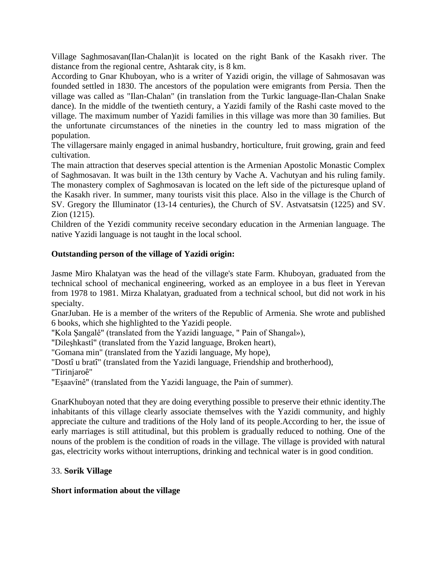Village Saghmosavan(Ilan-Chalan)it is located on the right Bank of the Kasakh river. The distance from the regional centre, Ashtarak city, is 8 km.

According to Gnar Khuboyan, who is a writer of Yazidi origin, the village of Sahmosavan was founded settled in 1830. The ancestors of the population were emigrants from Persia. Then the village was called as "Ilan-Chalan" (in translation from the Turkic language-Ilan-Chalan Snake dance). In the middle of the twentieth century, a Yazidi family of the Rashi caste moved to the village. The maximum number of Yazidi families in this village was more than 30 families. But the unfortunate circumstances of the nineties in the country led to mass migration of the population.

The villagersare mainly engaged in animal husbandry, horticulture, fruit growing, grain and feed cultivation.

The main attraction that deserves special attention is the Armenian Apostolic Monastic Complex of Saghmosavan. It was built in the 13th century by Vache A. Vachutyan and his ruling family. The monastery complex of Saghmosavan is located on the left side of the picturesque upland of the Kasakh river. In summer, many tourists visit this place. Also in the village is the Church of SV. Gregory the Illuminator (13-14 centuries), the Church of SV. Astvatsatsin (1225) and SV. Zion (1215).

Children of the Yezidi community receive secondary education in the Armenian language. The native Yazidi language is not taught in the local school.

# **Outstanding person of the village of Yazidi origin:**

Jasme Miro Khalatyan was the head of the village's state Farm. Khuboyan, graduated from the technical school of mechanical engineering, worked as an employee in a bus fleet in Yerevan from 1978 to 1981. Mirza Khalatyan, graduated from a technical school, but did not work in his specialty.

GnarJuban. He is a member of the writers of the Republic of Armenia. She wrote and published 6 books, which she highlighted to the Yazidi people.

"Kola Şangalê" (translated from the Yazidi language, " Pain of Shangal»),

"Dileşhkastî" (translated from the Yazid language, Broken heart),

"Gomana min" (translated from the Yazidi language, My hope),

"Dostî u bratî" (translated from the Yazidi language, Friendship and brotherhood),

"Tirinjaroê"

"Eşaavînê" (translated from the Yazidi language, the Pain of summer).

GnarKhuboyan noted that they are doing everything possible to preserve their ethnic identity.The inhabitants of this village clearly associate themselves with the Yazidi community, and highly appreciate the culture and traditions of the Holy land of its people.According to her, the issue of early marriages is still attitudinal, but this problem is gradually reduced to nothing. One of the nouns of the problem is the condition of roads in the village. The village is provided with natural gas, electricity works without interruptions, drinking and technical water is in good condition.

# 33. **Sorik Village**

# **Short information about the village**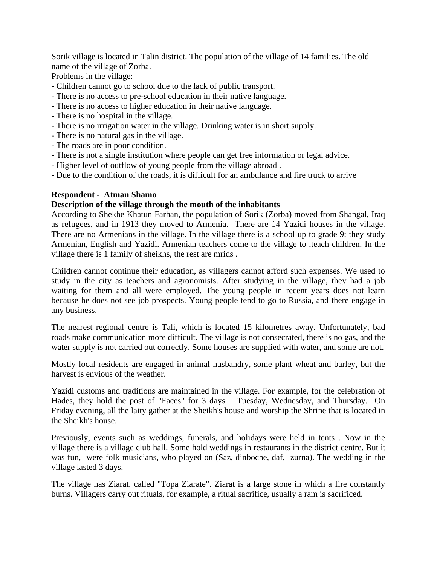Sorik village is located in Talin district. The population of the village of 14 families. The old name of the village of Zorba.

Problems in the village:

- Children cannot go to school due to the lack of public transport.
- There is no access to pre-school education in their native language.
- There is no access to higher education in their native language.
- There is no hospital in the village.
- There is no irrigation water in the village. Drinking water is in short supply.
- There is no natural gas in the village.
- The roads are in poor condition.
- There is not a single institution where people can get free information or legal advice.
- Higher level of outflow of young people from the village abroad .

- Due to the condition of the roads, it is difficult for an ambulance and fire truck to arrive

#### **Respondent - Atman Shamo**

# **Description of the village through the mouth of the inhabitants**

According to Shekhe Khatun Farhan, the population of Sorik (Zorba) moved from Shangal, Iraq as refugees, and in 1913 they moved to Armenia. There are 14 Yazidi houses in the village. There are no Armenians in the village. In the village there is a school up to grade 9: they study Armenian, English and Yazidi. Armenian teachers come to the village to ,teach children. In the village there is 1 family of sheikhs, the rest are mrids .

Children cannot continue their education, as villagers cannot afford such expenses. We used to study in the city as teachers and agronomists. After studying in the village, they had a job waiting for them and all were employed. The young people in recent years does not learn because he does not see job prospects. Young people tend to go to Russia, and there engage in any business.

The nearest regional centre is Tali, which is located 15 kilometres away. Unfortunately, bad roads make communication more difficult. The village is not consecrated, there is no gas, and the water supply is not carried out correctly. Some houses are supplied with water, and some are not.

Mostly local residents are engaged in animal husbandry, some plant wheat and barley, but the harvest is envious of the weather.

Yazidi customs and traditions are maintained in the village. For example, for the celebration of Hades, they hold the post of "Faces" for 3 days – Tuesday, Wednesday, and Thursday. On Friday evening, all the laity gather at the Sheikh's house and worship the Shrine that is located in the Sheikh's house.

Previously, events such as weddings, funerals, and holidays were held in tents . Now in the village there is a village club hall. Some hold weddings in restaurants in the district centre. But it was fun, were folk musicians, who played on (Saz, dinboche, daf, zurna). The wedding in the village lasted 3 days.

The village has Ziarat, called "Topa Ziarate". Ziarat is a large stone in which a fire constantly burns. Villagers carry out rituals, for example, a ritual sacrifice, usually a ram is sacrificed.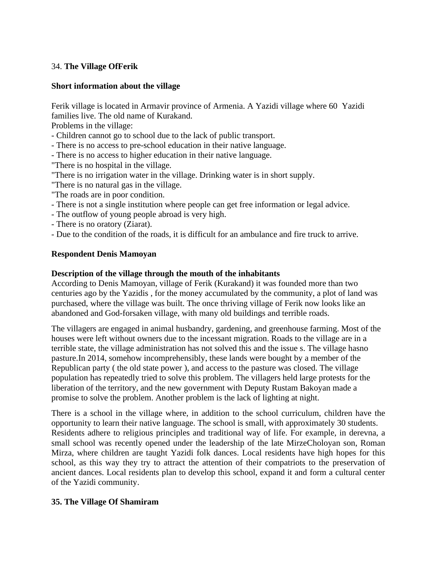# 34. **The Village OfFerik**

# **Short information about the village**

Ferik village is located in Armavir province of Armenia. A Yazidi village where 60 Yazidi families live. The old name of Kurakand.

Problems in the village:

- Children cannot go to school due to the lack of public transport.
- There is no access to pre-school education in their native language.
- There is no access to higher education in their native language.
- "There is no hospital in the village.
- "There is no irrigation water in the village. Drinking water is in short supply.
- "There is no natural gas in the village.
- "The roads are in poor condition.
- There is not a single institution where people can get free information or legal advice.
- The outflow of young people abroad is very high.
- There is no oratory (Ziarat).
- Due to the condition of the roads, it is difficult for an ambulance and fire truck to arrive.

# **Respondent Denis Mamoyan**

# **Description of the village through the mouth of the inhabitants**

According to Denis Mamoyan, village of Ferik (Kurakand) it was founded more than two centuries ago by the Yazidis , for the money accumulated by the community, a plot of land was purchased, where the village was built. The once thriving village of Ferik now looks like an abandoned and God-forsaken village, with many old buildings and terrible roads.

The villagers are engaged in animal husbandry, gardening, and greenhouse farming. Most of the houses were left without owners due to the incessant migration. Roads to the village are in a terrible state, the village administration has not solved this and the issue s. The village hasno pasture.In 2014, somehow incomprehensibly, these lands were bought by a member of the Republican party ( the old state power ), and access to the pasture was closed. The village population has repeatedly tried to solve this problem. The villagers held large protests for the liberation of the territory, and the new government with Deputy Rustam Bakoyan made a promise to solve the problem. Another problem is the lack of lighting at night.

There is a school in the village where, in addition to the school curriculum, children have the opportunity to learn their native language. The school is small, with approximately 30 students. Residents adhere to religious principles and traditional way of life. For example, in derevna, a small school was recently opened under the leadership of the late MirzeCholoyan son, Roman Mirza, where children are taught Yazidi folk dances. Local residents have high hopes for this school, as this way they try to attract the attention of their compatriots to the preservation of ancient dances. Local residents plan to develop this school, expand it and form a cultural center of the Yazidi community.

# **35. The Village Of Shamiram**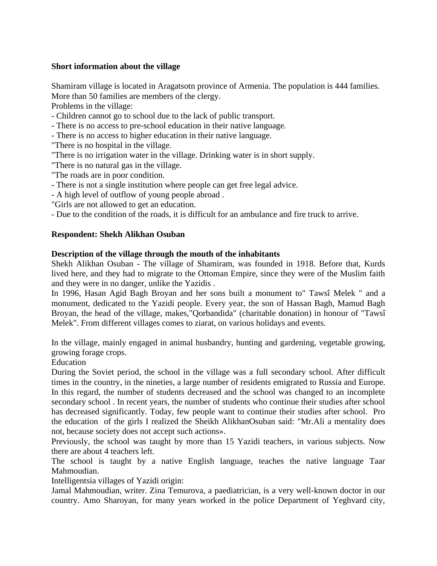# **Short information about the village**

Shamiram village is located in Aragatsotn province of Armenia. The population is 444 families. More than 50 families are members of the clergy.

Problems in the village:

- Children cannot go to school due to the lack of public transport.

- There is no access to pre-school education in their native language.

- There is no access to higher education in their native language.

"There is no hospital in the village.

"There is no irrigation water in the village. Drinking water is in short supply.

"There is no natural gas in the village.

"The roads are in poor condition.

- There is not a single institution where people can get free legal advice.

- A high level of outflow of young people abroad .

"Girls are not allowed to get an education.

- Due to the condition of the roads, it is difficult for an ambulance and fire truck to arrive.

# **Respondent: Shekh Alikhan Osuban**

#### **Description of the village through the mouth of the inhabitants**

Shekh Alikhan Osuban - The village of Shamiram, was founded in 1918. Before that, Kurds lived here, and they had to migrate to the Ottoman Empire, since they were of the Muslim faith and they were in no danger, unlike the Yazidis .

In 1996, Hasan Agid Bagh Broyan and her sons built a monument to" Tawsî Melek " and a monument, dedicated to the Yazidi people. Every year, the son of Hassan Bagh, Mamud Bagh Broyan, the head of the village, makes,"Qorbandida" (charitable donation) in honour of "Tawsî Melek". From different villages comes to ziarat, on various holidays and events.

In the village, mainly engaged in animal husbandry, hunting and gardening, vegetable growing, growing forage crops.

Education

During the Soviet period, the school in the village was a full secondary school. After difficult times in the country, in the nineties, a large number of residents emigrated to Russia and Europe. In this regard, the number of students decreased and the school was changed to an incomplete secondary school . In recent years, the number of students who continue their studies after school has decreased significantly. Today, few people want to continue their studies after school. Pro the education of the girls I realized the Sheikh AlikhanOsuban said: "Mr.Ali a mentality does not, because society does not accept such actions».

Previously, the school was taught by more than 15 Yazidi teachers, in various subjects. Now there are about 4 teachers left.

The school is taught by a native English language, teaches the native language Taar Mahmoudian.

Intelligentsia villages of Yazidi origin:

Jamal Mahmoudian, writer. Zina Temurova, a paediatrician, is a very well-known doctor in our country. Amo Sharoyan, for many years worked in the police Department of Yeghvard city,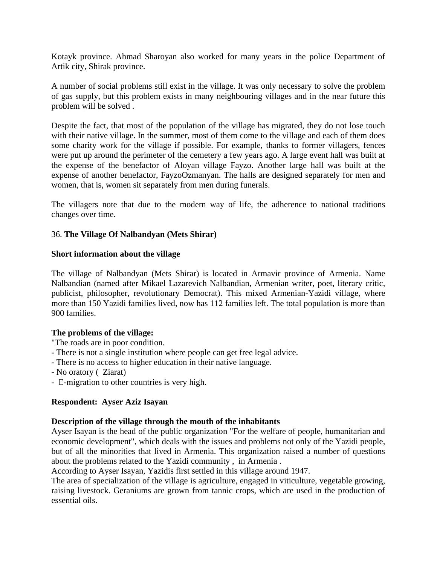Kotayk province. Ahmad Sharoyan also worked for many years in the police Department of Artik city, Shirak province.

A number of social problems still exist in the village. It was only necessary to solve the problem of gas supply, but this problem exists in many neighbouring villages and in the near future this problem will be solved .

Despite the fact, that most of the population of the village has migrated, they do not lose touch with their native village. In the summer, most of them come to the village and each of them does some charity work for the village if possible. For example, thanks to former villagers, fences were put up around the perimeter of the cemetery a few years ago. A large event hall was built at the expense of the benefactor of Aloyan village Fayzo. Another large hall was built at the expense of another benefactor, FayzoOzmanyan. The halls are designed separately for men and women, that is, women sit separately from men during funerals.

The villagers note that due to the modern way of life, the adherence to national traditions changes over time.

# 36. **The Village Of Nalbandyan (Mets Shirar)**

#### **Short information about the village**

The village of Nalbandyan (Mets Shirar) is located in Armavir province of Armenia. Name Nalbandian (named after Mikael Lazarevich Nalbandian, Armenian writer, poet, literary critic, publicist, philosopher, revolutionary Democrat). This mixed Armenian-Yazidi village, where more than 150 Yazidi families lived, now has 112 families left. The total population is more than 900 families.

# **The problems of the village:**

- "The roads are in poor condition.
- There is not a single institution where people can get free legal advice.
- There is no access to higher education in their native language.
- No oratory ( Ziarat)
- E-migration to other countries is very high.

#### **Respondent: Ayser Aziz Isayan**

# **Description of the village through the mouth of the inhabitants**

Ayser Isayan is the head of the public organization "For the welfare of people, humanitarian and economic development", which deals with the issues and problems not only of the Yazidi people, but of all the minorities that lived in Armenia. This organization raised a number of questions about the problems related to the Yazidi community , in Armenia .

According to Ayser Isayan, Yazidis first settled in this village around 1947.

The area of specialization of the village is agriculture, engaged in viticulture, vegetable growing, raising livestock. Geraniums are grown from tannic crops, which are used in the production of essential oils.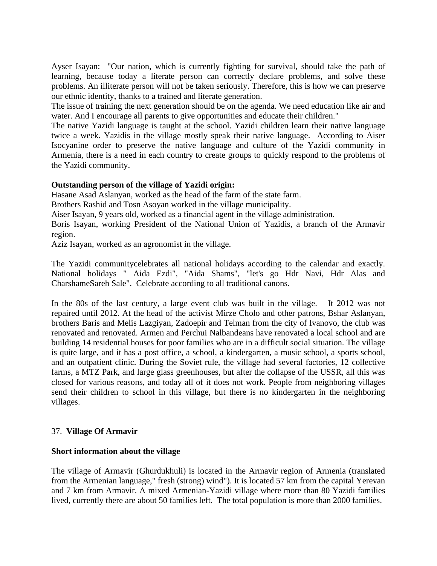Ayser Isayan: "Our nation, which is currently fighting for survival, should take the path of learning, because today a literate person can correctly declare problems, and solve these problems. An illiterate person will not be taken seriously. Therefore, this is how we can preserve our ethnic identity, thanks to a trained and literate generation.

The issue of training the next generation should be on the agenda. We need education like air and water. And I encourage all parents to give opportunities and educate their children."

The native Yazidi language is taught at the school. Yazidi children learn their native language twice a week. Yazidis in the village mostly speak their native language. According to Aiser Isocyanine order to preserve the native language and culture of the Yazidi community in Armenia, there is a need in each country to create groups to quickly respond to the problems of the Yazidi community.

# **Outstanding person of the village of Yazidi origin:**

Hasane Asad Aslanyan, worked as the head of the farm of the state farm.

Brothers Rashid and Tosn Asoyan worked in the village municipality.

Aiser Isayan, 9 years old, worked as a financial agent in the village administration.

Boris Isayan, working President of the National Union of Yazidis, a branch of the Armavir region.

Aziz Isayan, worked as an agronomist in the village.

The Yazidi communitycelebrates all national holidays according to the calendar and exactly. National holidays " Aida Ezdi", "Aida Shams", "let's go Hdr Navi, Hdr Alas and CharshameSareh Sale". Celebrate according to all traditional canons.

In the 80s of the last century, a large event club was built in the village. It 2012 was not repaired until 2012. At the head of the activist Mirze Cholo and other patrons, Bshar Aslanyan, brothers Baris and Melis Lazgiyan, Zadoepir and Telman from the city of Ivanovo, the club was renovated and renovated. Armen and Perchui Nalbandeans have renovated a local school and are building 14 residential houses for poor families who are in a difficult social situation. The village is quite large, and it has a post office, a school, a kindergarten, a music school, a sports school, and an outpatient clinic. During the Soviet rule, the village had several factories, 12 collective farms, a MTZ Park, and large glass greenhouses, but after the collapse of the USSR, all this was closed for various reasons, and today all of it does not work. People from neighboring villages send their children to school in this village, but there is no kindergarten in the neighboring villages.

# 37. **Village Of Armavir**

# **Short information about the village**

The village of Armavir (Ghurdukhuli) is located in the Armavir region of Armenia (translated from the Armenian language," fresh (strong) wind"). It is located 57 km from the capital Yerevan and 7 km from Armavir. A mixed Armenian-Yazidi village where more than 80 Yazidi families lived, currently there are about 50 families left. The total population is more than 2000 families.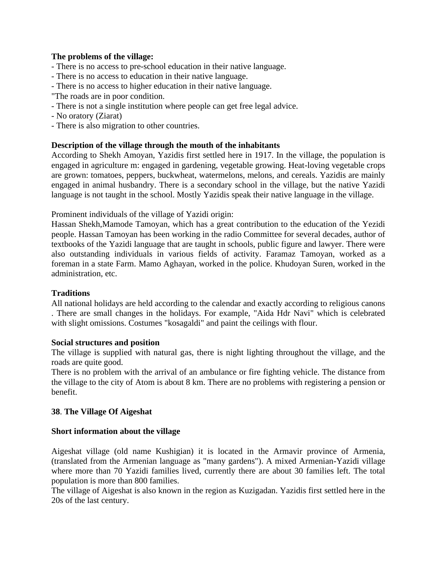# **The problems of the village:**

- There is no access to pre-school education in their native language.
- There is no access to education in their native language.
- There is no access to higher education in their native language.
- "The roads are in poor condition.
- There is not a single institution where people can get free legal advice.
- No oratory (Ziarat)
- There is also migration to other countries.

# **Description of the village through the mouth of the inhabitants**

According to Shekh Amoyan, Yazidis first settled here in 1917. In the village, the population is engaged in agriculture m: engaged in gardening, vegetable growing. Heat-loving vegetable crops are grown: tomatoes, peppers, buckwheat, watermelons, melons, and cereals. Yazidis are mainly engaged in animal husbandry. There is a secondary school in the village, but the native Yazidi language is not taught in the school. Mostly Yazidis speak their native language in the village.

Prominent individuals of the village of Yazidi origin:

Hassan Shekh,Mamode Tamoyan, which has a great contribution to the education of the Yezidi people. Hassan Tamoyan has been working in the radio Committee for several decades, author of textbooks of the Yazidi language that are taught in schools, public figure and lawyer. There were also outstanding individuals in various fields of activity. Faramaz Tamoyan, worked as a foreman in a state Farm. Mamo Aghayan, worked in the police. Khudoyan Suren, worked in the administration, etc.

# **Traditions**

All national holidays are held according to the calendar and exactly according to religious canons . There are small changes in the holidays. For example, "Aida Hdr Navi" which is celebrated with slight omissions. Costumes "kosagaldi" and paint the ceilings with flour.

# **Social structures and position**

The village is supplied with natural gas, there is night lighting throughout the village, and the roads are quite good.

There is no problem with the arrival of an ambulance or fire fighting vehicle. The distance from the village to the city of Atom is about 8 km. There are no problems with registering a pension or benefit.

# **38**. **The Village Of Aigeshat**

# **Short information about the village**

Aigeshat village (old name Kushigian) it is located in the Armavir province of Armenia, (translated from the Armenian language as "many gardens"). A mixed Armenian-Yazidi village where more than 70 Yazidi families lived, currently there are about 30 families left. The total population is more than 800 families.

The village of Aigeshat is also known in the region as Kuzigadan. Yazidis first settled here in the 20s of the last century.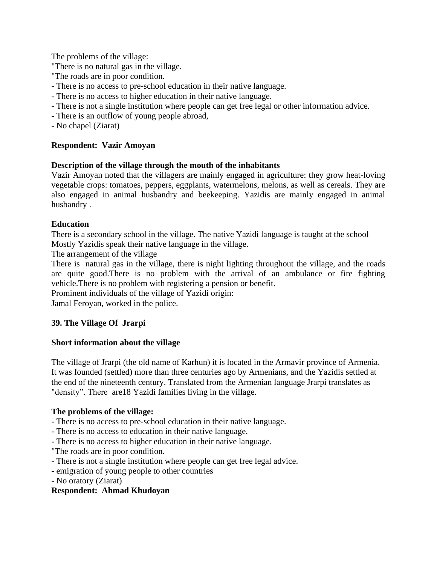The problems of the village:

"There is no natural gas in the village.

"The roads are in poor condition.

- There is no access to pre-school education in their native language.
- There is no access to higher education in their native language.
- There is not a single institution where people can get free legal or other information advice.
- There is an outflow of young people abroad,
- **-** No chapel (Ziarat)

# **Respondent: Vazir Amoyan**

# **Description of the village through the mouth of the inhabitants**

Vazir Amoyan noted that the villagers are mainly engaged in agriculture: they grow heat-loving vegetable crops: tomatoes, peppers, eggplants, watermelons, melons, as well as cereals. They are also engaged in animal husbandry and beekeeping. Yazidis are mainly engaged in animal husbandry .

# **Education**

There is a secondary school in the village. The native Yazidi language is taught at the school Mostly Yazidis speak their native language in the village.

The arrangement of the village

There is natural gas in the village, there is night lighting throughout the village, and the roads are quite good.There is no problem with the arrival of an ambulance or fire fighting vehicle.There is no problem with registering a pension or benefit.

Prominent individuals of the village of Yazidi origin:

Jamal Feroyan, worked in the police.

# **39. The Village Of Jrarpi**

# **Short information about the village**

The village of Jrarpi (the old name of Karhun) it is located in the Armavir province of Armenia. It was founded (settled) more than three centuries ago by Armenians, and the Yazidis settled at the end of the nineteenth century. Translated from the Armenian language Jrarpi translates as "density". There are18 Yazidi families living in the village.

# **The problems of the village:**

- There is no access to pre-school education in their native language.
- There is no access to education in their native language.
- There is no access to higher education in their native language.
- "The roads are in poor condition.
- There is not a single institution where people can get free legal advice.
- emigration of young people to other countries
- No oratory (Ziarat)

# **Respondent: Ahmad Khudoyan**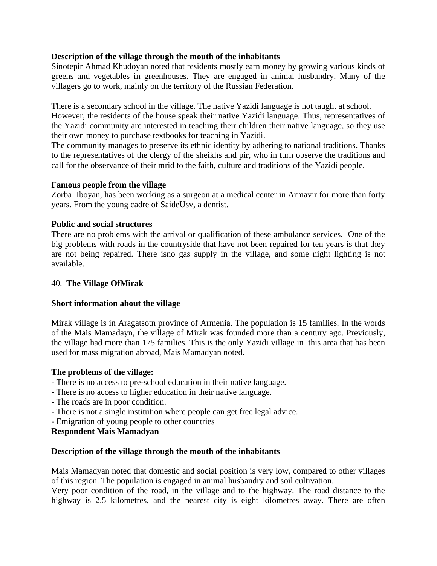# **Description of the village through the mouth of the inhabitants**

Sinotepir Ahmad Khudoyan noted that residents mostly earn money by growing various kinds of greens and vegetables in greenhouses. They are engaged in animal husbandry. Many of the villagers go to work, mainly on the territory of the Russian Federation.

There is a secondary school in the village. The native Yazidi language is not taught at school.

However, the residents of the house speak their native Yazidi language. Thus, representatives of the Yazidi community are interested in teaching their children their native language, so they use their own money to purchase textbooks for teaching in Yazidi.

The community manages to preserve its ethnic identity by adhering to national traditions. Thanks to the representatives of the clergy of the sheikhs and pir, who in turn observe the traditions and call for the observance of their mrid to the faith, culture and traditions of the Yazidi people.

# **Famous people from the village**

Zorba Iboyan, has been working as a surgeon at a medical center in Armavir for more than forty years. From the young cadre of SaideUsv, a dentist.

# **Public and social structures**

There are no problems with the arrival or qualification of these ambulance services. One of the big problems with roads in the countryside that have not been repaired for ten years is that they are not being repaired. There isno gas supply in the village, and some night lighting is not available.

# 40. **The Village OfMirak**

# **Short information about the village**

Mirak village is in Aragatsotn province of Armenia. The population is 15 families. In the words of the Mais Mamadayn, the village of Mirak was founded more than a century ago. Previously, the village had more than 175 families. This is the only Yazidi village in this area that has been used for mass migration abroad, Mais Mamadyan noted.

# **The problems of the village:**

- There is no access to pre-school education in their native language.
- There is no access to higher education in their native language.
- The roads are in poor condition.
- There is not a single institution where people can get free legal advice.
- Emigration of young people to other countries

# **Respondent Mais Mamadyan**

# **Description of the village through the mouth of the inhabitants**

Mais Mamadyan noted that domestic and social position is very low, compared to other villages of this region. The population is engaged in animal husbandry and soil cultivation.

Very poor condition of the road, in the village and to the highway. The road distance to the highway is 2.5 kilometres, and the nearest city is eight kilometres away. There are often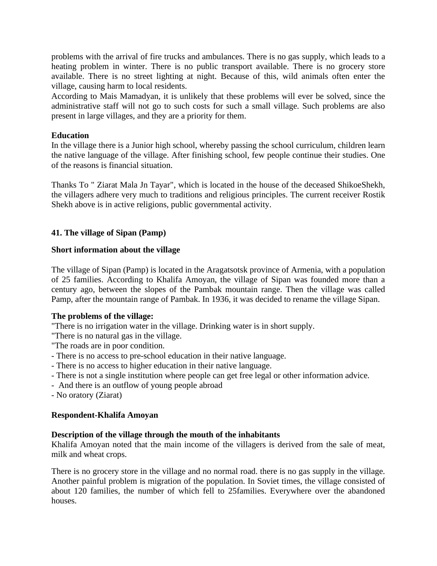problems with the arrival of fire trucks and ambulances. There is no gas supply, which leads to a heating problem in winter. There is no public transport available. There is no grocery store available. There is no street lighting at night. Because of this, wild animals often enter the village, causing harm to local residents.

According to Mais Mamadyan, it is unlikely that these problems will ever be solved, since the administrative staff will not go to such costs for such a small village. Such problems are also present in large villages, and they are a priority for them.

# **Education**

In the village there is a Junior high school, whereby passing the school curriculum, children learn the native language of the village. After finishing school, few people continue their studies. One of the reasons is financial situation.

Thanks To " Ziarat Mala Jn Tayar", which is located in the house of the deceased ShikoeShekh, the villagers adhere very much to traditions and religious principles. The current receiver Rostik Shekh above is in active religions, public governmental activity.

# **41. The village of Sipan (Pamp)**

# **Short information about the village**

The village of Sipan (Pamp) is located in the Aragatsotsk province of Armenia, with a population of 25 families. According to Khalifa Amoyan, the village of Sipan was founded more than a century ago, between the slopes of the Pambak mountain range. Then the village was called Pamp, after the mountain range of Pambak. In 1936, it was decided to rename the village Sipan.

# **The problems of the village:**

"There is no irrigation water in the village. Drinking water is in short supply.

"There is no natural gas in the village.

- "The roads are in poor condition.
- There is no access to pre-school education in their native language.
- There is no access to higher education in their native language.
- There is not a single institution where people can get free legal or other information advice.
- And there is an outflow of young people abroad
- No oratory (Ziarat)

# **Respondent-Khalifa Amoyan**

# **Description of the village through the mouth of the inhabitants**

Khalifa Amoyan noted that the main income of the villagers is derived from the sale of meat, milk and wheat crops.

There is no grocery store in the village and no normal road. there is no gas supply in the village. Another painful problem is migration of the population. In Soviet times, the village consisted of about 120 families, the number of which fell to 25families. Everywhere over the abandoned houses.